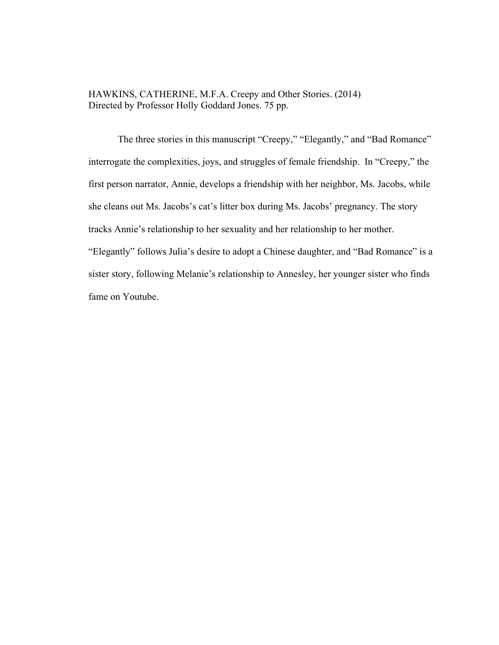HAWKINS, CATHERINE, M.F.A. Creepy and Other Stories. (2014) Directed by Professor Holly Goddard Jones. 75 pp.

The three stories in this manuscript "Creepy," "Elegantly," and "Bad Romance" interrogate the complexities, joys, and struggles of female friendship. In "Creepy," the first person narrator, Annie, develops a friendship with her neighbor, Ms. Jacobs, while she cleans out Ms. Jacobs's cat's litter box during Ms. Jacobs' pregnancy. The story tracks Annie's relationship to her sexuality and her relationship to her mother. "Elegantly" follows Julia's desire to adopt a Chinese daughter, and "Bad Romance" is a sister story, following Melanie's relationship to Annesley, her younger sister who finds fame on Youtube.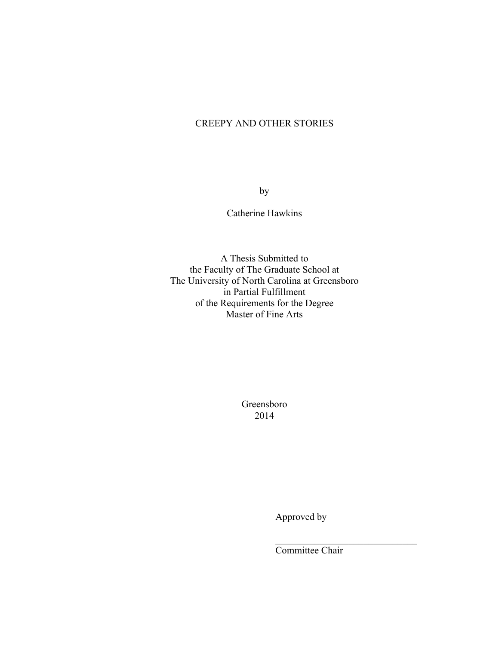## CREEPY AND OTHER STORIES

by

Catherine Hawkins

A Thesis Submitted to the Faculty of The Graduate School at The University of North Carolina at Greensboro in Partial Fulfillment of the Requirements for the Degree Master of Fine Arts

> Greensboro 2014

> > Approved by

Committee Chair

 $\mathcal{L}_\text{max}$  , where  $\mathcal{L}_\text{max}$  and  $\mathcal{L}_\text{max}$  and  $\mathcal{L}_\text{max}$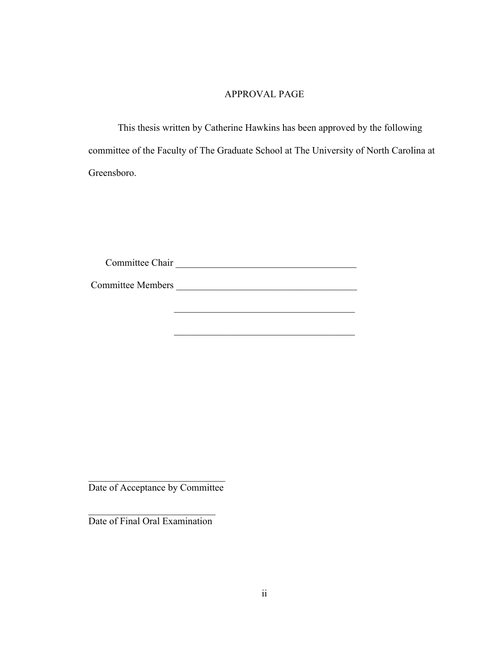### APPROVAL PAGE

This thesis written by Catherine Hawkins has been approved by the following committee of the Faculty of The Graduate School at The University of North Carolina at Greensboro.

 $\mathcal{L}_\text{max}$  , and the set of the set of the set of the set of the set of the set of the set of the set of the set of the set of the set of the set of the set of the set of the set of the set of the set of the set of the

 $\mathcal{L}_\text{max}$  , and the set of the set of the set of the set of the set of the set of the set of the set of the set of the set of the set of the set of the set of the set of the set of the set of the set of the set of the

| Committee Chair |  |
|-----------------|--|
|                 |  |

Committee Members.

 $\mathcal{L}_\text{max}$  , where  $\mathcal{L}_\text{max}$  , we have the set of  $\mathcal{L}_\text{max}$ Date of Acceptance by Committee

 $\mathcal{L}_\text{max}$  , where  $\mathcal{L}_\text{max}$  and  $\mathcal{L}_\text{max}$ Date of Final Oral Examination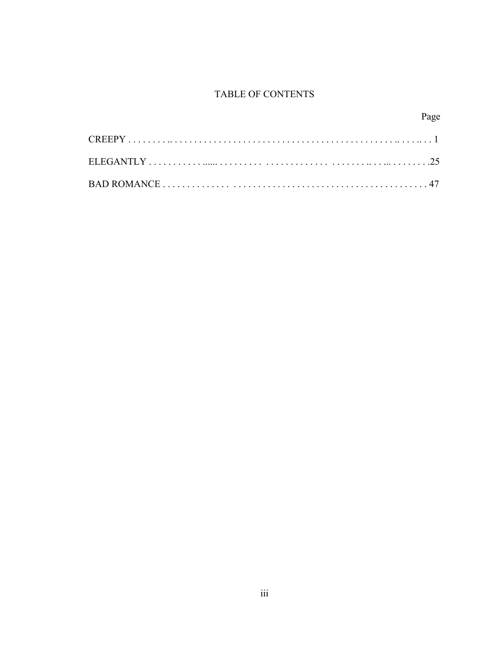# **TABLE OF CONTENTS**

Page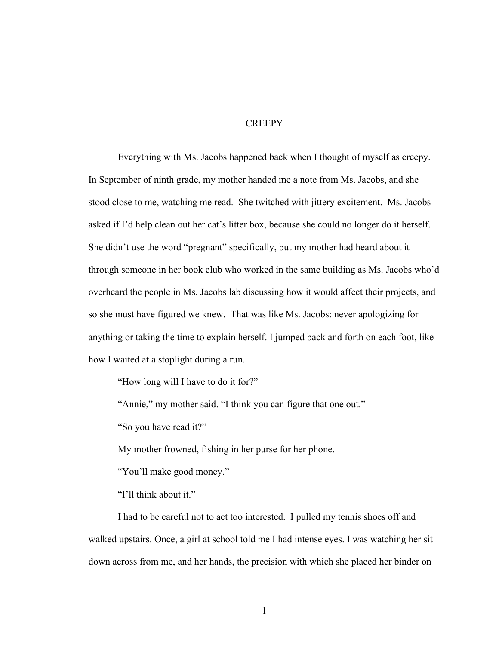### **CREEPY**

Everything with Ms. Jacobs happened back when I thought of myself as creepy. In September of ninth grade, my mother handed me a note from Ms. Jacobs, and she stood close to me, watching me read. She twitched with jittery excitement. Ms. Jacobs asked if I'd help clean out her cat's litter box, because she could no longer do it herself. She didn't use the word "pregnant" specifically, but my mother had heard about it through someone in her book club who worked in the same building as Ms. Jacobs who'd overheard the people in Ms. Jacobs lab discussing how it would affect their projects, and so she must have figured we knew. That was like Ms. Jacobs: never apologizing for anything or taking the time to explain herself. I jumped back and forth on each foot, like how I waited at a stoplight during a run.

"How long will I have to do it for?"

"Annie," my mother said. "I think you can figure that one out."

"So you have read it?"

My mother frowned, fishing in her purse for her phone.

"You'll make good money."

"I'll think about it."

I had to be careful not to act too interested. I pulled my tennis shoes off and walked upstairs. Once, a girl at school told me I had intense eyes. I was watching her sit down across from me, and her hands, the precision with which she placed her binder on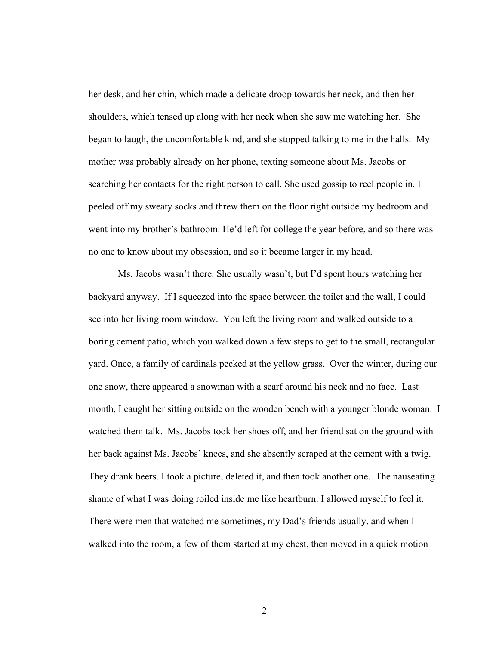her desk, and her chin, which made a delicate droop towards her neck, and then her shoulders, which tensed up along with her neck when she saw me watching her. She began to laugh, the uncomfortable kind, and she stopped talking to me in the halls. My mother was probably already on her phone, texting someone about Ms. Jacobs or searching her contacts for the right person to call. She used gossip to reel people in. I peeled off my sweaty socks and threw them on the floor right outside my bedroom and went into my brother's bathroom. He'd left for college the year before, and so there was no one to know about my obsession, and so it became larger in my head.

Ms. Jacobs wasn't there. She usually wasn't, but I'd spent hours watching her backyard anyway. If I squeezed into the space between the toilet and the wall, I could see into her living room window. You left the living room and walked outside to a boring cement patio, which you walked down a few steps to get to the small, rectangular yard. Once, a family of cardinals pecked at the yellow grass. Over the winter, during our one snow, there appeared a snowman with a scarf around his neck and no face. Last month, I caught her sitting outside on the wooden bench with a younger blonde woman. I watched them talk. Ms. Jacobs took her shoes off, and her friend sat on the ground with her back against Ms. Jacobs' knees, and she absently scraped at the cement with a twig. They drank beers. I took a picture, deleted it, and then took another one. The nauseating shame of what I was doing roiled inside me like heartburn. I allowed myself to feel it. There were men that watched me sometimes, my Dad's friends usually, and when I walked into the room, a few of them started at my chest, then moved in a quick motion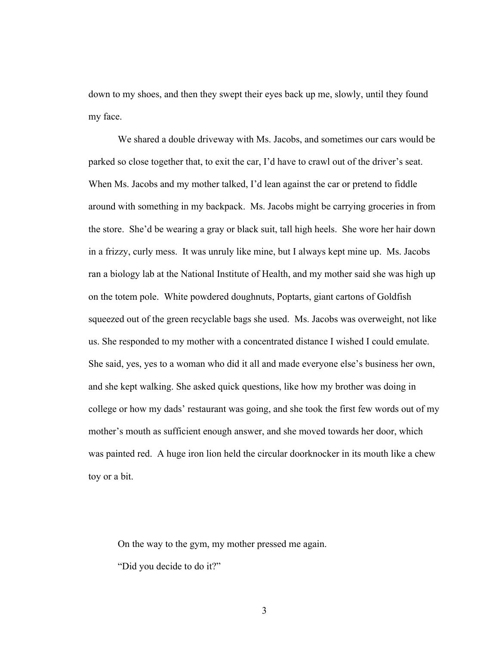down to my shoes, and then they swept their eyes back up me, slowly, until they found my face.

We shared a double driveway with Ms. Jacobs, and sometimes our cars would be parked so close together that, to exit the car, I'd have to crawl out of the driver's seat. When Ms. Jacobs and my mother talked, I'd lean against the car or pretend to fiddle around with something in my backpack. Ms. Jacobs might be carrying groceries in from the store. She'd be wearing a gray or black suit, tall high heels. She wore her hair down in a frizzy, curly mess. It was unruly like mine, but I always kept mine up. Ms. Jacobs ran a biology lab at the National Institute of Health, and my mother said she was high up on the totem pole. White powdered doughnuts, Poptarts, giant cartons of Goldfish squeezed out of the green recyclable bags she used. Ms. Jacobs was overweight, not like us. She responded to my mother with a concentrated distance I wished I could emulate. She said, yes, yes to a woman who did it all and made everyone else's business her own, and she kept walking. She asked quick questions, like how my brother was doing in college or how my dads' restaurant was going, and she took the first few words out of my mother's mouth as sufficient enough answer, and she moved towards her door, which was painted red. A huge iron lion held the circular doorknocker in its mouth like a chew toy or a bit.

On the way to the gym, my mother pressed me again. "Did you decide to do it?"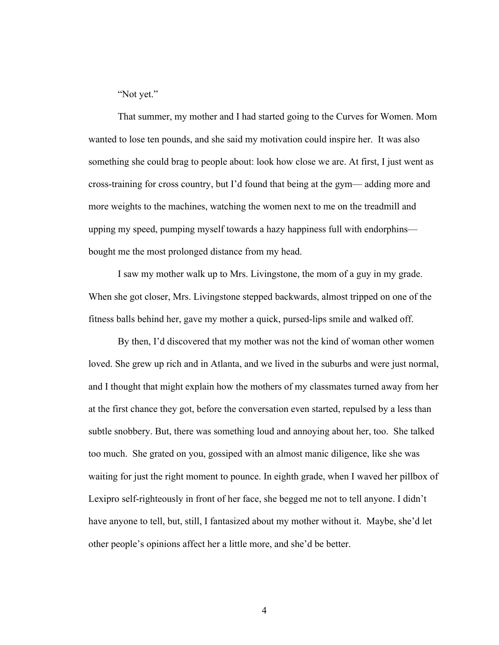"Not yet."

That summer, my mother and I had started going to the Curves for Women. Mom wanted to lose ten pounds, and she said my motivation could inspire her. It was also something she could brag to people about: look how close we are. At first, I just went as cross-training for cross country, but I'd found that being at the gym— adding more and more weights to the machines, watching the women next to me on the treadmill and upping my speed, pumping myself towards a hazy happiness full with endorphins bought me the most prolonged distance from my head.

I saw my mother walk up to Mrs. Livingstone, the mom of a guy in my grade. When she got closer, Mrs. Livingstone stepped backwards, almost tripped on one of the fitness balls behind her, gave my mother a quick, pursed-lips smile and walked off.

By then, I'd discovered that my mother was not the kind of woman other women loved. She grew up rich and in Atlanta, and we lived in the suburbs and were just normal, and I thought that might explain how the mothers of my classmates turned away from her at the first chance they got, before the conversation even started, repulsed by a less than subtle snobbery. But, there was something loud and annoying about her, too. She talked too much. She grated on you, gossiped with an almost manic diligence, like she was waiting for just the right moment to pounce. In eighth grade, when I waved her pillbox of Lexipro self-righteously in front of her face, she begged me not to tell anyone. I didn't have anyone to tell, but, still, I fantasized about my mother without it. Maybe, she'd let other people's opinions affect her a little more, and she'd be better.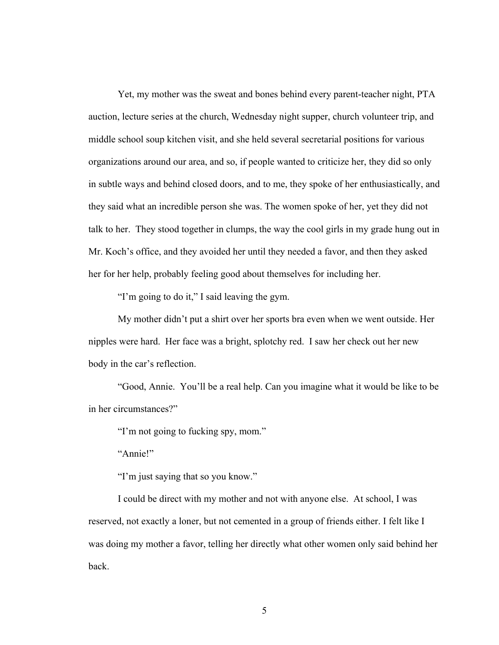Yet, my mother was the sweat and bones behind every parent-teacher night, PTA auction, lecture series at the church, Wednesday night supper, church volunteer trip, and middle school soup kitchen visit, and she held several secretarial positions for various organizations around our area, and so, if people wanted to criticize her, they did so only in subtle ways and behind closed doors, and to me, they spoke of her enthusiastically, and they said what an incredible person she was. The women spoke of her, yet they did not talk to her. They stood together in clumps, the way the cool girls in my grade hung out in Mr. Koch's office, and they avoided her until they needed a favor, and then they asked her for her help, probably feeling good about themselves for including her.

"I'm going to do it," I said leaving the gym.

My mother didn't put a shirt over her sports bra even when we went outside. Her nipples were hard. Her face was a bright, splotchy red. I saw her check out her new body in the car's reflection.

"Good, Annie. You'll be a real help. Can you imagine what it would be like to be in her circumstances?"

"I'm not going to fucking spy, mom."

"Annie!"

"I'm just saying that so you know."

I could be direct with my mother and not with anyone else. At school, I was reserved, not exactly a loner, but not cemented in a group of friends either. I felt like I was doing my mother a favor, telling her directly what other women only said behind her back.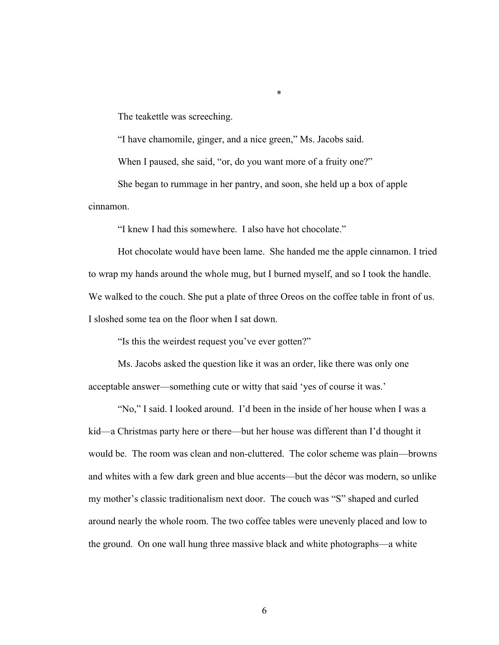The teakettle was screeching.

"I have chamomile, ginger, and a nice green," Ms. Jacobs said.

\*

When I paused, she said, "or, do you want more of a fruity one?"

She began to rummage in her pantry, and soon, she held up a box of apple cinnamon.

"I knew I had this somewhere. I also have hot chocolate."

Hot chocolate would have been lame. She handed me the apple cinnamon. I tried to wrap my hands around the whole mug, but I burned myself, and so I took the handle. We walked to the couch. She put a plate of three Oreos on the coffee table in front of us. I sloshed some tea on the floor when I sat down.

"Is this the weirdest request you've ever gotten?"

Ms. Jacobs asked the question like it was an order, like there was only one acceptable answer—something cute or witty that said 'yes of course it was.'

"No," I said. I looked around. I'd been in the inside of her house when I was a kid—a Christmas party here or there—but her house was different than I'd thought it would be. The room was clean and non-cluttered. The color scheme was plain—browns and whites with a few dark green and blue accents—but the décor was modern, so unlike my mother's classic traditionalism next door. The couch was "S" shaped and curled around nearly the whole room. The two coffee tables were unevenly placed and low to the ground. On one wall hung three massive black and white photographs—a white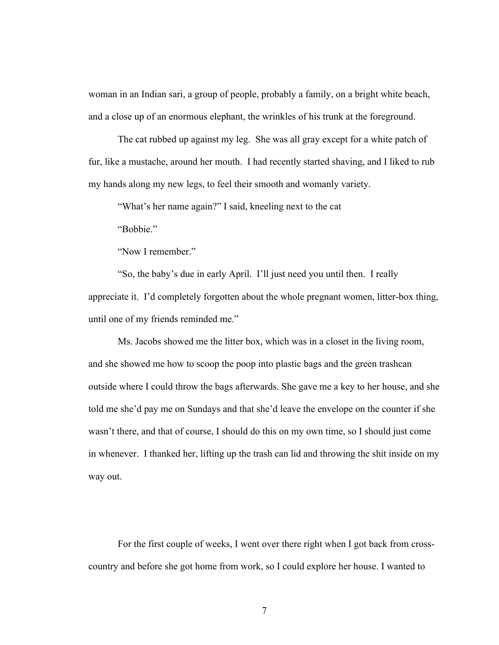woman in an Indian sari, a group of people, probably a family, on a bright white beach, and a close up of an enormous elephant, the wrinkles of his trunk at the foreground.

The cat rubbed up against my leg. She was all gray except for a white patch of fur, like a mustache, around her mouth. I had recently started shaving, and I liked to rub my hands along my new legs, to feel their smooth and womanly variety.

"What's her name again?" I said, kneeling next to the cat

"Bobbie."

"Now I remember."

"So, the baby's due in early April. I'll just need you until then. I really appreciate it. I'd completely forgotten about the whole pregnant women, litter-box thing, until one of my friends reminded me."

Ms. Jacobs showed me the litter box, which was in a closet in the living room, and she showed me how to scoop the poop into plastic bags and the green trashcan outside where I could throw the bags afterwards. She gave me a key to her house, and she told me she'd pay me on Sundays and that she'd leave the envelope on the counter if she wasn't there, and that of course, I should do this on my own time, so I should just come in whenever. I thanked her, lifting up the trash can lid and throwing the shit inside on my way out.

For the first couple of weeks, I went over there right when I got back from crosscountry and before she got home from work, so I could explore her house. I wanted to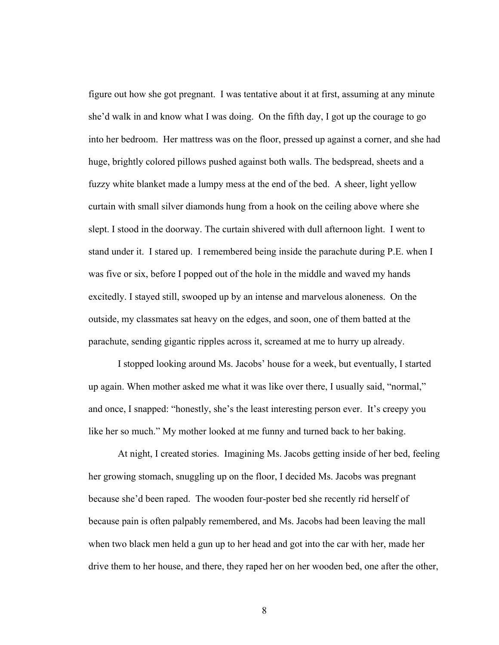figure out how she got pregnant. I was tentative about it at first, assuming at any minute she'd walk in and know what I was doing. On the fifth day, I got up the courage to go into her bedroom. Her mattress was on the floor, pressed up against a corner, and she had huge, brightly colored pillows pushed against both walls. The bedspread, sheets and a fuzzy white blanket made a lumpy mess at the end of the bed. A sheer, light yellow curtain with small silver diamonds hung from a hook on the ceiling above where she slept. I stood in the doorway. The curtain shivered with dull afternoon light. I went to stand under it. I stared up. I remembered being inside the parachute during P.E. when I was five or six, before I popped out of the hole in the middle and waved my hands excitedly. I stayed still, swooped up by an intense and marvelous aloneness. On the outside, my classmates sat heavy on the edges, and soon, one of them batted at the parachute, sending gigantic ripples across it, screamed at me to hurry up already.

I stopped looking around Ms. Jacobs' house for a week, but eventually, I started up again. When mother asked me what it was like over there, I usually said, "normal," and once, I snapped: "honestly, she's the least interesting person ever. It's creepy you like her so much." My mother looked at me funny and turned back to her baking.

At night, I created stories. Imagining Ms. Jacobs getting inside of her bed, feeling her growing stomach, snuggling up on the floor, I decided Ms. Jacobs was pregnant because she'd been raped. The wooden four-poster bed she recently rid herself of because pain is often palpably remembered, and Ms. Jacobs had been leaving the mall when two black men held a gun up to her head and got into the car with her, made her drive them to her house, and there, they raped her on her wooden bed, one after the other,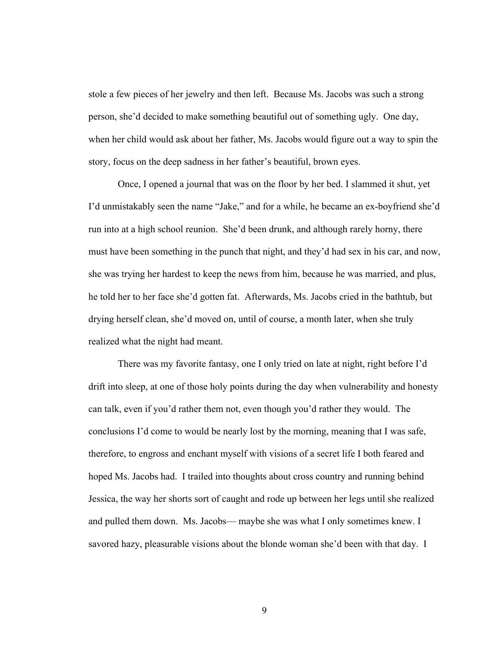stole a few pieces of her jewelry and then left. Because Ms. Jacobs was such a strong person, she'd decided to make something beautiful out of something ugly. One day, when her child would ask about her father, Ms. Jacobs would figure out a way to spin the story, focus on the deep sadness in her father's beautiful, brown eyes.

Once, I opened a journal that was on the floor by her bed. I slammed it shut, yet I'd unmistakably seen the name "Jake," and for a while, he became an ex-boyfriend she'd run into at a high school reunion. She'd been drunk, and although rarely horny, there must have been something in the punch that night, and they'd had sex in his car, and now, she was trying her hardest to keep the news from him, because he was married, and plus, he told her to her face she'd gotten fat. Afterwards, Ms. Jacobs cried in the bathtub, but drying herself clean, she'd moved on, until of course, a month later, when she truly realized what the night had meant.

There was my favorite fantasy, one I only tried on late at night, right before I'd drift into sleep, at one of those holy points during the day when vulnerability and honesty can talk, even if you'd rather them not, even though you'd rather they would. The conclusions I'd come to would be nearly lost by the morning, meaning that I was safe, therefore, to engross and enchant myself with visions of a secret life I both feared and hoped Ms. Jacobs had. I trailed into thoughts about cross country and running behind Jessica, the way her shorts sort of caught and rode up between her legs until she realized and pulled them down. Ms. Jacobs— maybe she was what I only sometimes knew. I savored hazy, pleasurable visions about the blonde woman she'd been with that day. I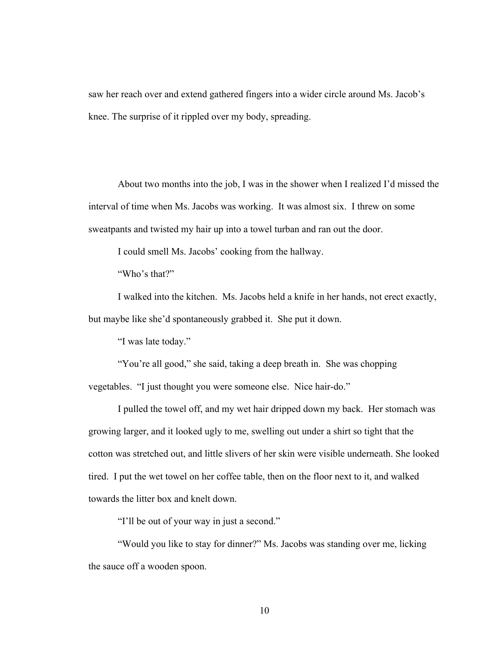saw her reach over and extend gathered fingers into a wider circle around Ms. Jacob's knee. The surprise of it rippled over my body, spreading.

About two months into the job, I was in the shower when I realized I'd missed the interval of time when Ms. Jacobs was working. It was almost six. I threw on some sweatpants and twisted my hair up into a towel turban and ran out the door.

I could smell Ms. Jacobs' cooking from the hallway.

"Who's that?"

I walked into the kitchen. Ms. Jacobs held a knife in her hands, not erect exactly, but maybe like she'd spontaneously grabbed it. She put it down.

"I was late today."

"You're all good," she said, taking a deep breath in. She was chopping vegetables. "I just thought you were someone else. Nice hair-do."

I pulled the towel off, and my wet hair dripped down my back. Her stomach was growing larger, and it looked ugly to me, swelling out under a shirt so tight that the cotton was stretched out, and little slivers of her skin were visible underneath. She looked tired. I put the wet towel on her coffee table, then on the floor next to it, and walked towards the litter box and knelt down.

"I'll be out of your way in just a second."

"Would you like to stay for dinner?" Ms. Jacobs was standing over me, licking the sauce off a wooden spoon.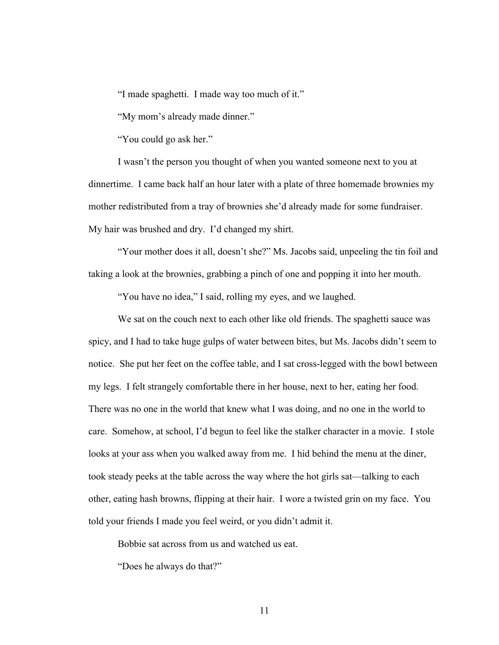"I made spaghetti. I made way too much of it."

"My mom's already made dinner."

"You could go ask her."

I wasn't the person you thought of when you wanted someone next to you at dinnertime. I came back half an hour later with a plate of three homemade brownies my mother redistributed from a tray of brownies she'd already made for some fundraiser. My hair was brushed and dry. I'd changed my shirt.

"Your mother does it all, doesn't she?" Ms. Jacobs said, unpeeling the tin foil and taking a look at the brownies, grabbing a pinch of one and popping it into her mouth.

"You have no idea," I said, rolling my eyes, and we laughed.

We sat on the couch next to each other like old friends. The spaghetti sauce was spicy, and I had to take huge gulps of water between bites, but Ms. Jacobs didn't seem to notice. She put her feet on the coffee table, and I sat cross-legged with the bowl between my legs. I felt strangely comfortable there in her house, next to her, eating her food. There was no one in the world that knew what I was doing, and no one in the world to care. Somehow, at school, I'd begun to feel like the stalker character in a movie. I stole looks at your ass when you walked away from me. I hid behind the menu at the diner, took steady peeks at the table across the way where the hot girls sat—talking to each other, eating hash browns, flipping at their hair. I wore a twisted grin on my face. You told your friends I made you feel weird, or you didn't admit it.

Bobbie sat across from us and watched us eat.

"Does he always do that?"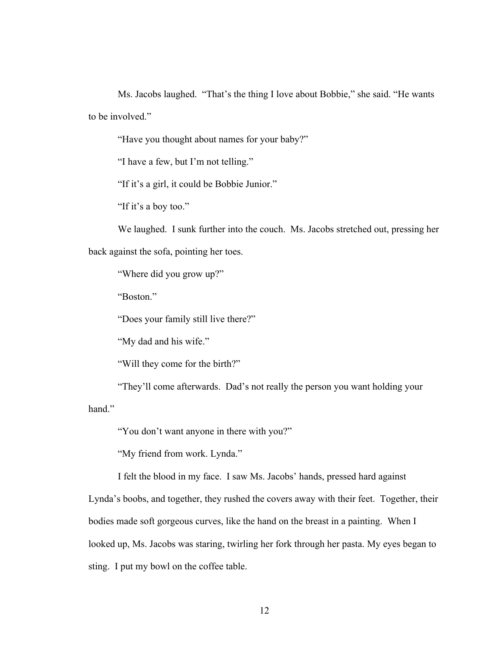Ms. Jacobs laughed. "That's the thing I love about Bobbie," she said. "He wants to be involved."

"Have you thought about names for your baby?"

"I have a few, but I'm not telling."

"If it's a girl, it could be Bobbie Junior."

"If it's a boy too."

We laughed. I sunk further into the couch. Ms. Jacobs stretched out, pressing her back against the sofa, pointing her toes.

"Where did you grow up?"

"Boston."

"Does your family still live there?"

"My dad and his wife."

"Will they come for the birth?"

"They'll come afterwards. Dad's not really the person you want holding your

hand."

"You don't want anyone in there with you?"

"My friend from work. Lynda."

I felt the blood in my face. I saw Ms. Jacobs' hands, pressed hard against

Lynda's boobs, and together, they rushed the covers away with their feet. Together, their bodies made soft gorgeous curves, like the hand on the breast in a painting. When I looked up, Ms. Jacobs was staring, twirling her fork through her pasta. My eyes began to sting. I put my bowl on the coffee table.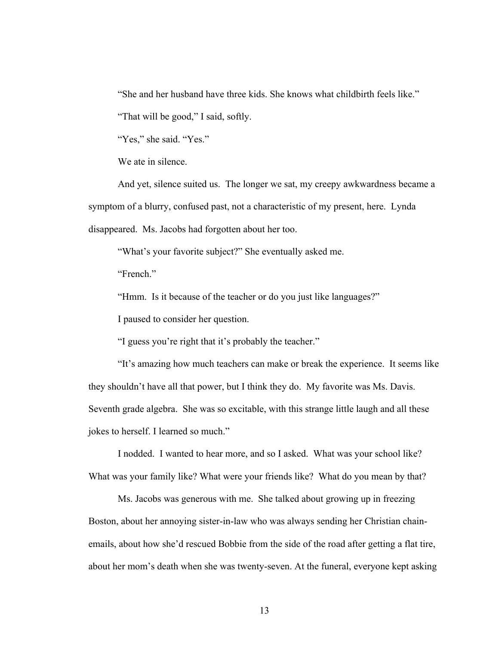"She and her husband have three kids. She knows what childbirth feels like."

"That will be good," I said, softly.

"Yes," she said. "Yes."

We ate in silence.

And yet, silence suited us. The longer we sat, my creepy awkwardness became a symptom of a blurry, confused past, not a characteristic of my present, here. Lynda disappeared. Ms. Jacobs had forgotten about her too.

"What's your favorite subject?" She eventually asked me.

"French."

"Hmm. Is it because of the teacher or do you just like languages?"

I paused to consider her question.

"I guess you're right that it's probably the teacher."

"It's amazing how much teachers can make or break the experience. It seems like they shouldn't have all that power, but I think they do. My favorite was Ms. Davis. Seventh grade algebra. She was so excitable, with this strange little laugh and all these jokes to herself. I learned so much."

I nodded. I wanted to hear more, and so I asked. What was your school like? What was your family like? What were your friends like? What do you mean by that?

Ms. Jacobs was generous with me. She talked about growing up in freezing Boston, about her annoying sister-in-law who was always sending her Christian chainemails, about how she'd rescued Bobbie from the side of the road after getting a flat tire, about her mom's death when she was twenty-seven. At the funeral, everyone kept asking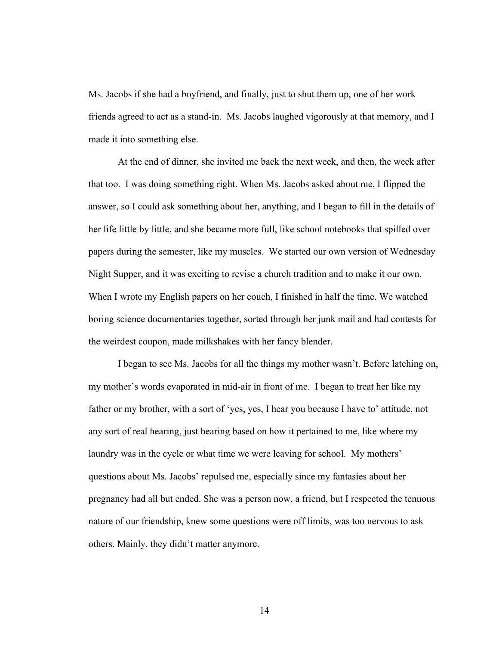Ms. Jacobs if she had a boyfriend, and finally, just to shut them up, one of her work friends agreed to act as a stand-in. Ms. Jacobs laughed vigorously at that memory, and I made it into something else.

At the end of dinner, she invited me back the next week, and then, the week after that too. I was doing something right. When Ms. Jacobs asked about me, I flipped the answer, so I could ask something about her, anything, and I began to fill in the details of her life little by little, and she became more full, like school notebooks that spilled over papers during the semester, like my muscles. We started our own version of Wednesday Night Supper, and it was exciting to revise a church tradition and to make it our own. When I wrote my English papers on her couch, I finished in half the time. We watched boring science documentaries together, sorted through her junk mail and had contests for the weirdest coupon, made milkshakes with her fancy blender.

I began to see Ms. Jacobs for all the things my mother wasn't. Before latching on, my mother's words evaporated in mid-air in front of me. I began to treat her like my father or my brother, with a sort of 'yes, yes, I hear you because I have to' attitude, not any sort of real hearing, just hearing based on how it pertained to me, like where my laundry was in the cycle or what time we were leaving for school. My mothers' questions about Ms. Jacobs' repulsed me, especially since my fantasies about her pregnancy had all but ended. She was a person now, a friend, but I respected the tenuous nature of our friendship, knew some questions were off limits, was too nervous to ask others. Mainly, they didn't matter anymore.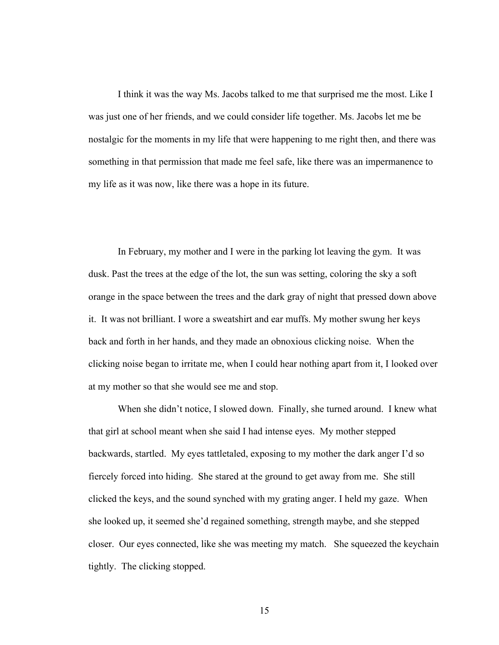I think it was the way Ms. Jacobs talked to me that surprised me the most. Like I was just one of her friends, and we could consider life together. Ms. Jacobs let me be nostalgic for the moments in my life that were happening to me right then, and there was something in that permission that made me feel safe, like there was an impermanence to my life as it was now, like there was a hope in its future.

In February, my mother and I were in the parking lot leaving the gym. It was dusk. Past the trees at the edge of the lot, the sun was setting, coloring the sky a soft orange in the space between the trees and the dark gray of night that pressed down above it. It was not brilliant. I wore a sweatshirt and ear muffs. My mother swung her keys back and forth in her hands, and they made an obnoxious clicking noise. When the clicking noise began to irritate me, when I could hear nothing apart from it, I looked over at my mother so that she would see me and stop.

When she didn't notice, I slowed down. Finally, she turned around. I knew what that girl at school meant when she said I had intense eyes. My mother stepped backwards, startled. My eyes tattletaled, exposing to my mother the dark anger I'd so fiercely forced into hiding. She stared at the ground to get away from me. She still clicked the keys, and the sound synched with my grating anger. I held my gaze. When she looked up, it seemed she'd regained something, strength maybe, and she stepped closer. Our eyes connected, like she was meeting my match. She squeezed the keychain tightly. The clicking stopped.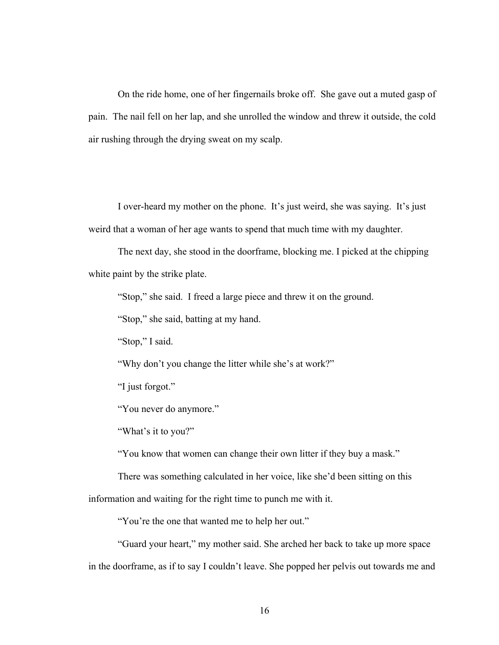On the ride home, one of her fingernails broke off. She gave out a muted gasp of pain. The nail fell on her lap, and she unrolled the window and threw it outside, the cold air rushing through the drying sweat on my scalp.

I over-heard my mother on the phone. It's just weird, she was saying. It's just weird that a woman of her age wants to spend that much time with my daughter.

The next day, she stood in the doorframe, blocking me. I picked at the chipping white paint by the strike plate.

"Stop," she said. I freed a large piece and threw it on the ground.

"Stop," she said, batting at my hand.

"Stop," I said.

"Why don't you change the litter while she's at work?"

"I just forgot."

"You never do anymore."

"What's it to you?"

"You know that women can change their own litter if they buy a mask."

There was something calculated in her voice, like she'd been sitting on this

information and waiting for the right time to punch me with it.

"You're the one that wanted me to help her out."

"Guard your heart," my mother said. She arched her back to take up more space in the doorframe, as if to say I couldn't leave. She popped her pelvis out towards me and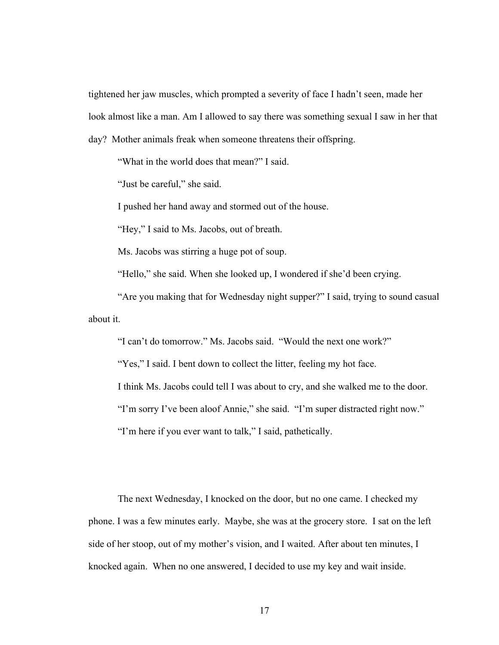tightened her jaw muscles, which prompted a severity of face I hadn't seen, made her look almost like a man. Am I allowed to say there was something sexual I saw in her that day? Mother animals freak when someone threatens their offspring.

"What in the world does that mean?" I said.

"Just be careful," she said.

I pushed her hand away and stormed out of the house.

"Hey," I said to Ms. Jacobs, out of breath.

Ms. Jacobs was stirring a huge pot of soup.

"Hello," she said. When she looked up, I wondered if she'd been crying.

"Are you making that for Wednesday night supper?" I said, trying to sound casual about it.

"I can't do tomorrow." Ms. Jacobs said. "Would the next one work?"

"Yes," I said. I bent down to collect the litter, feeling my hot face.

I think Ms. Jacobs could tell I was about to cry, and she walked me to the door.

"I'm sorry I've been aloof Annie," she said. "I'm super distracted right now."

"I'm here if you ever want to talk," I said, pathetically.

The next Wednesday, I knocked on the door, but no one came. I checked my phone. I was a few minutes early. Maybe, she was at the grocery store. I sat on the left side of her stoop, out of my mother's vision, and I waited. After about ten minutes, I knocked again. When no one answered, I decided to use my key and wait inside.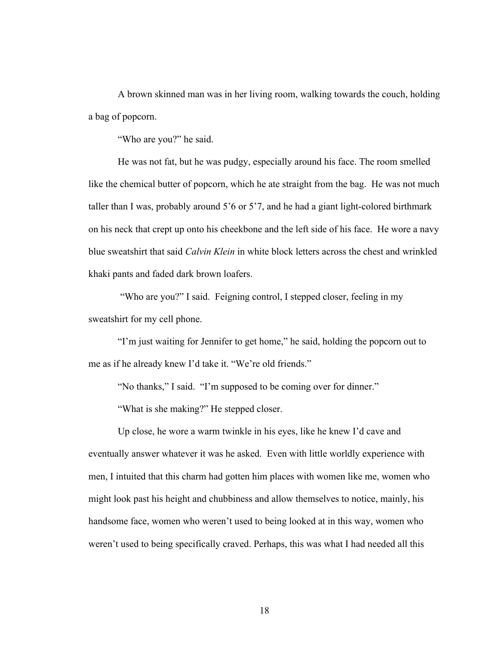A brown skinned man was in her living room, walking towards the couch, holding a bag of popcorn.

"Who are you?" he said.

He was not fat, but he was pudgy, especially around his face. The room smelled like the chemical butter of popcorn, which he ate straight from the bag. He was not much taller than I was, probably around 5'6 or 5'7, and he had a giant light-colored birthmark on his neck that crept up onto his cheekbone and the left side of his face. He wore a navy blue sweatshirt that said *Calvin Klein* in white block letters across the chest and wrinkled khaki pants and faded dark brown loafers.

"Who are you?" I said. Feigning control, I stepped closer, feeling in my sweatshirt for my cell phone.

"I'm just waiting for Jennifer to get home," he said, holding the popcorn out to me as if he already knew I'd take it. "We're old friends."

"No thanks," I said. "I'm supposed to be coming over for dinner."

"What is she making?" He stepped closer.

Up close, he wore a warm twinkle in his eyes, like he knew I'd cave and eventually answer whatever it was he asked. Even with little worldly experience with men, I intuited that this charm had gotten him places with women like me, women who might look past his height and chubbiness and allow themselves to notice, mainly, his handsome face, women who weren't used to being looked at in this way, women who weren't used to being specifically craved. Perhaps, this was what I had needed all this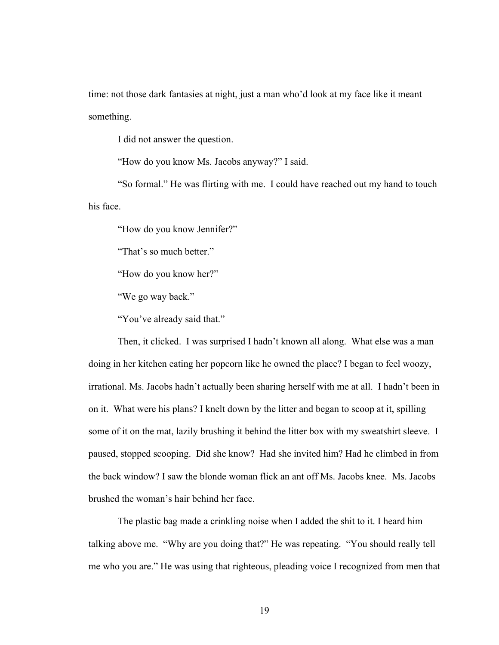time: not those dark fantasies at night, just a man who'd look at my face like it meant something.

I did not answer the question.

"How do you know Ms. Jacobs anyway?" I said.

"So formal." He was flirting with me. I could have reached out my hand to touch his face.

"How do you know Jennifer?"

"That's so much better."

"How do you know her?"

"We go way back."

"You've already said that."

Then, it clicked. I was surprised I hadn't known all along. What else was a man doing in her kitchen eating her popcorn like he owned the place? I began to feel woozy, irrational. Ms. Jacobs hadn't actually been sharing herself with me at all. I hadn't been in on it. What were his plans? I knelt down by the litter and began to scoop at it, spilling some of it on the mat, lazily brushing it behind the litter box with my sweatshirt sleeve. I paused, stopped scooping. Did she know? Had she invited him? Had he climbed in from the back window? I saw the blonde woman flick an ant off Ms. Jacobs knee. Ms. Jacobs brushed the woman's hair behind her face.

The plastic bag made a crinkling noise when I added the shit to it. I heard him talking above me. "Why are you doing that?" He was repeating. "You should really tell me who you are." He was using that righteous, pleading voice I recognized from men that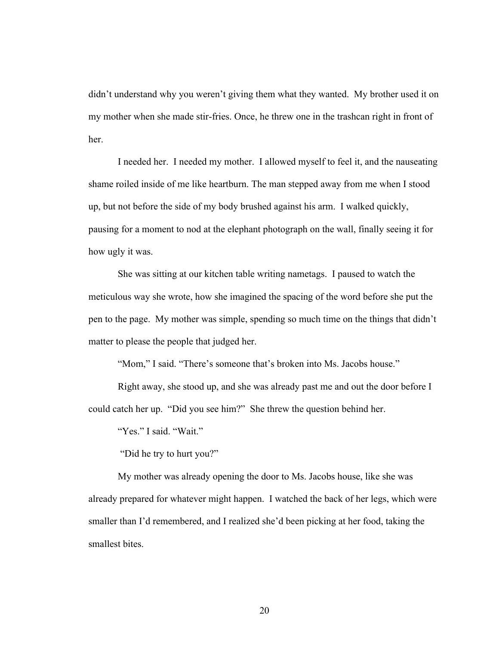didn't understand why you weren't giving them what they wanted. My brother used it on my mother when she made stir-fries. Once, he threw one in the trashcan right in front of her.

I needed her. I needed my mother. I allowed myself to feel it, and the nauseating shame roiled inside of me like heartburn. The man stepped away from me when I stood up, but not before the side of my body brushed against his arm. I walked quickly, pausing for a moment to nod at the elephant photograph on the wall, finally seeing it for how ugly it was.

She was sitting at our kitchen table writing nametags. I paused to watch the meticulous way she wrote, how she imagined the spacing of the word before she put the pen to the page. My mother was simple, spending so much time on the things that didn't matter to please the people that judged her.

"Mom," I said. "There's someone that's broken into Ms. Jacobs house."

Right away, she stood up, and she was already past me and out the door before I could catch her up. "Did you see him?" She threw the question behind her.

"Yes." I said. "Wait."

"Did he try to hurt you?"

My mother was already opening the door to Ms. Jacobs house, like she was already prepared for whatever might happen. I watched the back of her legs, which were smaller than I'd remembered, and I realized she'd been picking at her food, taking the smallest bites.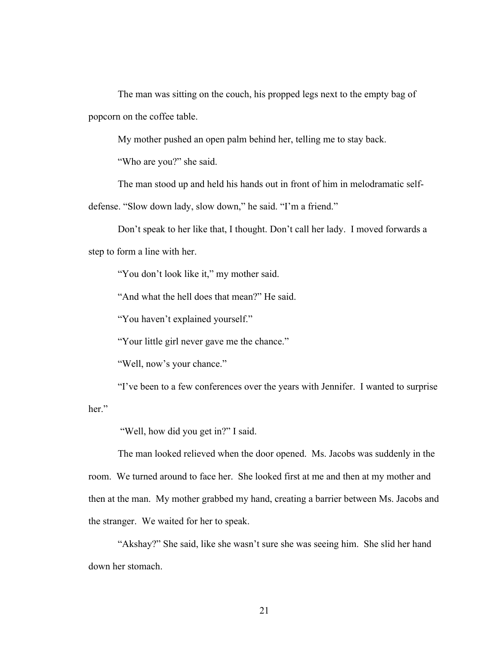The man was sitting on the couch, his propped legs next to the empty bag of popcorn on the coffee table.

My mother pushed an open palm behind her, telling me to stay back.

"Who are you?" she said.

The man stood up and held his hands out in front of him in melodramatic selfdefense. "Slow down lady, slow down," he said. "I'm a friend."

Don't speak to her like that, I thought. Don't call her lady. I moved forwards a step to form a line with her.

"You don't look like it," my mother said.

"And what the hell does that mean?" He said.

"You haven't explained yourself."

"Your little girl never gave me the chance."

"Well, now's your chance."

"I've been to a few conferences over the years with Jennifer. I wanted to surprise her."

"Well, how did you get in?" I said.

The man looked relieved when the door opened. Ms. Jacobs was suddenly in the room. We turned around to face her. She looked first at me and then at my mother and then at the man. My mother grabbed my hand, creating a barrier between Ms. Jacobs and the stranger. We waited for her to speak.

"Akshay?" She said, like she wasn't sure she was seeing him. She slid her hand down her stomach.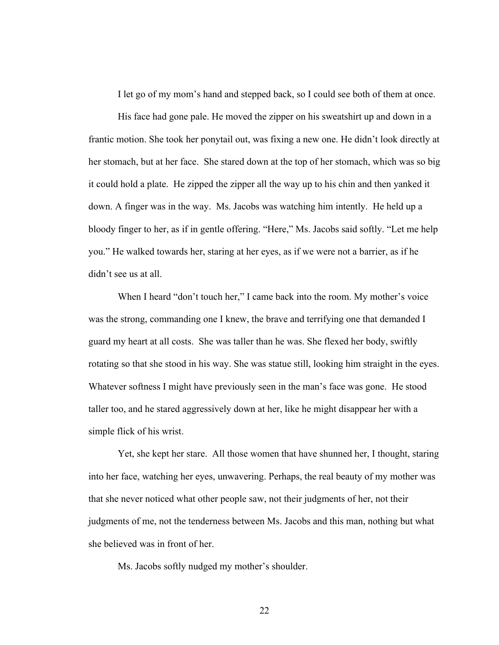I let go of my mom's hand and stepped back, so I could see both of them at once.

His face had gone pale. He moved the zipper on his sweatshirt up and down in a frantic motion. She took her ponytail out, was fixing a new one. He didn't look directly at her stomach, but at her face. She stared down at the top of her stomach, which was so big it could hold a plate. He zipped the zipper all the way up to his chin and then yanked it down. A finger was in the way. Ms. Jacobs was watching him intently. He held up a bloody finger to her, as if in gentle offering. "Here," Ms. Jacobs said softly. "Let me help you." He walked towards her, staring at her eyes, as if we were not a barrier, as if he didn't see us at all.

When I heard "don't touch her," I came back into the room. My mother's voice was the strong, commanding one I knew, the brave and terrifying one that demanded I guard my heart at all costs. She was taller than he was. She flexed her body, swiftly rotating so that she stood in his way. She was statue still, looking him straight in the eyes. Whatever softness I might have previously seen in the man's face was gone. He stood taller too, and he stared aggressively down at her, like he might disappear her with a simple flick of his wrist.

Yet, she kept her stare. All those women that have shunned her, I thought, staring into her face, watching her eyes, unwavering. Perhaps, the real beauty of my mother was that she never noticed what other people saw, not their judgments of her, not their judgments of me, not the tenderness between Ms. Jacobs and this man, nothing but what she believed was in front of her.

Ms. Jacobs softly nudged my mother's shoulder.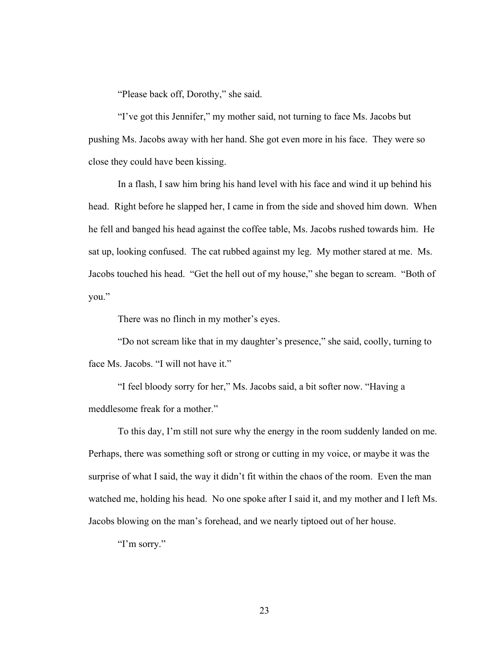"Please back off, Dorothy," she said.

"I've got this Jennifer," my mother said, not turning to face Ms. Jacobs but pushing Ms. Jacobs away with her hand. She got even more in his face. They were so close they could have been kissing.

In a flash, I saw him bring his hand level with his face and wind it up behind his head. Right before he slapped her, I came in from the side and shoved him down. When he fell and banged his head against the coffee table, Ms. Jacobs rushed towards him. He sat up, looking confused. The cat rubbed against my leg. My mother stared at me. Ms. Jacobs touched his head. "Get the hell out of my house," she began to scream. "Both of you."

There was no flinch in my mother's eyes.

"Do not scream like that in my daughter's presence," she said, coolly, turning to face Ms. Jacobs. "I will not have it."

"I feel bloody sorry for her," Ms. Jacobs said, a bit softer now. "Having a meddlesome freak for a mother."

To this day, I'm still not sure why the energy in the room suddenly landed on me. Perhaps, there was something soft or strong or cutting in my voice, or maybe it was the surprise of what I said, the way it didn't fit within the chaos of the room. Even the man watched me, holding his head. No one spoke after I said it, and my mother and I left Ms. Jacobs blowing on the man's forehead, and we nearly tiptoed out of her house.

"I'm sorry."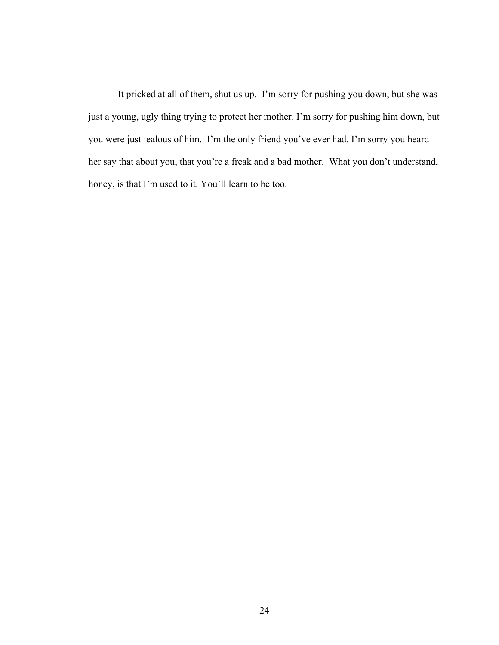It pricked at all of them, shut us up. I'm sorry for pushing you down, but she was just a young, ugly thing trying to protect her mother. I'm sorry for pushing him down, but you were just jealous of him. I'm the only friend you've ever had. I'm sorry you heard her say that about you, that you're a freak and a bad mother. What you don't understand, honey, is that I'm used to it. You'll learn to be too.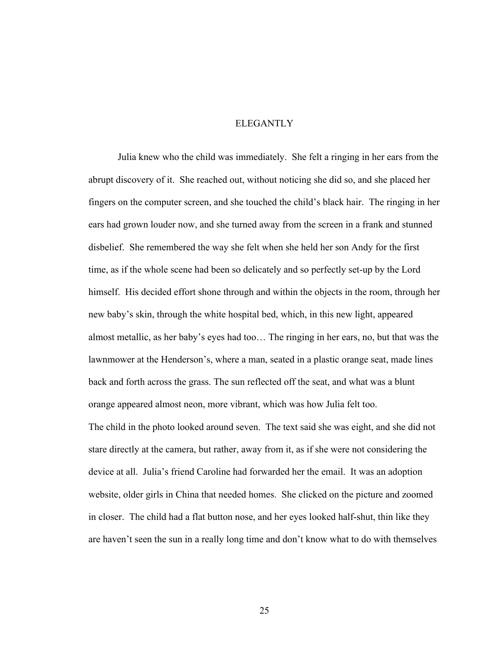### ELEGANTLY

Julia knew who the child was immediately. She felt a ringing in her ears from the abrupt discovery of it. She reached out, without noticing she did so, and she placed her fingers on the computer screen, and she touched the child's black hair. The ringing in her ears had grown louder now, and she turned away from the screen in a frank and stunned disbelief. She remembered the way she felt when she held her son Andy for the first time, as if the whole scene had been so delicately and so perfectly set-up by the Lord himself. His decided effort shone through and within the objects in the room, through her new baby's skin, through the white hospital bed, which, in this new light, appeared almost metallic, as her baby's eyes had too… The ringing in her ears, no, but that was the lawnmower at the Henderson's, where a man, seated in a plastic orange seat, made lines back and forth across the grass. The sun reflected off the seat, and what was a blunt orange appeared almost neon, more vibrant, which was how Julia felt too. The child in the photo looked around seven. The text said she was eight, and she did not stare directly at the camera, but rather, away from it, as if she were not considering the device at all. Julia's friend Caroline had forwarded her the email. It was an adoption website, older girls in China that needed homes. She clicked on the picture and zoomed in closer. The child had a flat button nose, and her eyes looked half-shut, thin like they are haven't seen the sun in a really long time and don't know what to do with themselves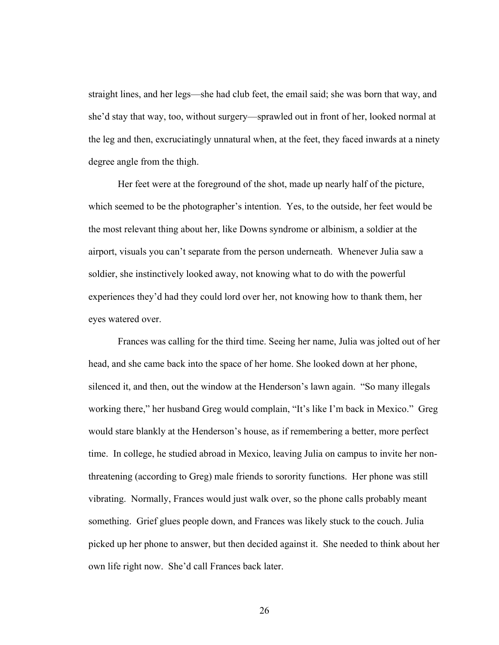straight lines, and her legs—she had club feet, the email said; she was born that way, and she'd stay that way, too, without surgery—sprawled out in front of her, looked normal at the leg and then, excruciatingly unnatural when, at the feet, they faced inwards at a ninety degree angle from the thigh.

Her feet were at the foreground of the shot, made up nearly half of the picture, which seemed to be the photographer's intention. Yes, to the outside, her feet would be the most relevant thing about her, like Downs syndrome or albinism, a soldier at the airport, visuals you can't separate from the person underneath. Whenever Julia saw a soldier, she instinctively looked away, not knowing what to do with the powerful experiences they'd had they could lord over her, not knowing how to thank them, her eyes watered over.

Frances was calling for the third time. Seeing her name, Julia was jolted out of her head, and she came back into the space of her home. She looked down at her phone, silenced it, and then, out the window at the Henderson's lawn again. "So many illegals working there," her husband Greg would complain, "It's like I'm back in Mexico." Greg would stare blankly at the Henderson's house, as if remembering a better, more perfect time. In college, he studied abroad in Mexico, leaving Julia on campus to invite her nonthreatening (according to Greg) male friends to sorority functions. Her phone was still vibrating. Normally, Frances would just walk over, so the phone calls probably meant something. Grief glues people down, and Frances was likely stuck to the couch. Julia picked up her phone to answer, but then decided against it. She needed to think about her own life right now. She'd call Frances back later.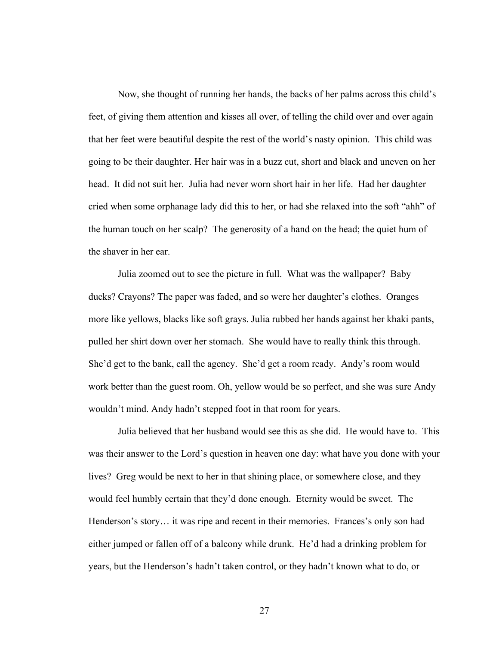Now, she thought of running her hands, the backs of her palms across this child's feet, of giving them attention and kisses all over, of telling the child over and over again that her feet were beautiful despite the rest of the world's nasty opinion. This child was going to be their daughter. Her hair was in a buzz cut, short and black and uneven on her head. It did not suit her. Julia had never worn short hair in her life. Had her daughter cried when some orphanage lady did this to her, or had she relaxed into the soft "ahh" of the human touch on her scalp? The generosity of a hand on the head; the quiet hum of the shaver in her ear.

Julia zoomed out to see the picture in full. What was the wallpaper? Baby ducks? Crayons? The paper was faded, and so were her daughter's clothes. Oranges more like yellows, blacks like soft grays. Julia rubbed her hands against her khaki pants, pulled her shirt down over her stomach. She would have to really think this through. She'd get to the bank, call the agency. She'd get a room ready. Andy's room would work better than the guest room. Oh, yellow would be so perfect, and she was sure Andy wouldn't mind. Andy hadn't stepped foot in that room for years.

Julia believed that her husband would see this as she did. He would have to. This was their answer to the Lord's question in heaven one day: what have you done with your lives? Greg would be next to her in that shining place, or somewhere close, and they would feel humbly certain that they'd done enough. Eternity would be sweet. The Henderson's story… it was ripe and recent in their memories. Frances's only son had either jumped or fallen off of a balcony while drunk. He'd had a drinking problem for years, but the Henderson's hadn't taken control, or they hadn't known what to do, or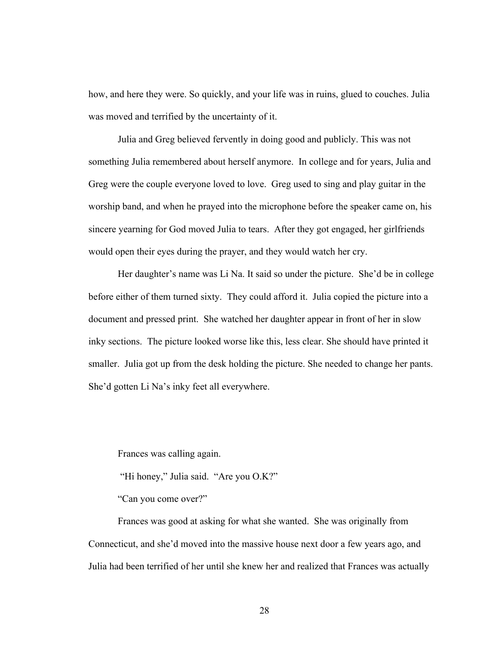how, and here they were. So quickly, and your life was in ruins, glued to couches. Julia was moved and terrified by the uncertainty of it.

Julia and Greg believed fervently in doing good and publicly. This was not something Julia remembered about herself anymore. In college and for years, Julia and Greg were the couple everyone loved to love. Greg used to sing and play guitar in the worship band, and when he prayed into the microphone before the speaker came on, his sincere yearning for God moved Julia to tears. After they got engaged, her girlfriends would open their eyes during the prayer, and they would watch her cry.

Her daughter's name was Li Na. It said so under the picture. She'd be in college before either of them turned sixty. They could afford it. Julia copied the picture into a document and pressed print. She watched her daughter appear in front of her in slow inky sections. The picture looked worse like this, less clear. She should have printed it smaller. Julia got up from the desk holding the picture. She needed to change her pants. She'd gotten Li Na's inky feet all everywhere.

Frances was calling again.

"Hi honey," Julia said. "Are you O.K?"

"Can you come over?"

Frances was good at asking for what she wanted. She was originally from Connecticut, and she'd moved into the massive house next door a few years ago, and Julia had been terrified of her until she knew her and realized that Frances was actually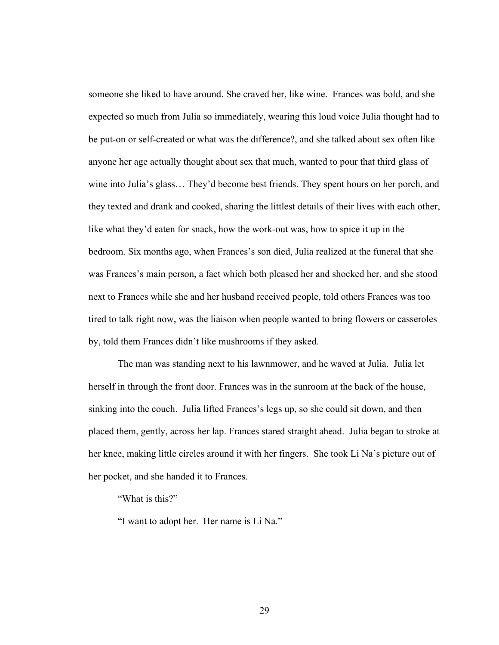someone she liked to have around. She craved her, like wine. Frances was bold, and she expected so much from Julia so immediately, wearing this loud voice Julia thought had to be put-on or self-created or what was the difference?, and she talked about sex often like anyone her age actually thought about sex that much, wanted to pour that third glass of wine into Julia's glass… They'd become best friends. They spent hours on her porch, and they texted and drank and cooked, sharing the littlest details of their lives with each other, like what they'd eaten for snack, how the work-out was, how to spice it up in the bedroom. Six months ago, when Frances's son died, Julia realized at the funeral that she was Frances's main person, a fact which both pleased her and shocked her, and she stood next to Frances while she and her husband received people, told others Frances was too tired to talk right now, was the liaison when people wanted to bring flowers or casseroles by, told them Frances didn't like mushrooms if they asked.

The man was standing next to his lawnmower, and he waved at Julia. Julia let herself in through the front door. Frances was in the sunroom at the back of the house, sinking into the couch. Julia lifted Frances's legs up, so she could sit down, and then placed them, gently, across her lap. Frances stared straight ahead. Julia began to stroke at her knee, making little circles around it with her fingers. She took Li Na's picture out of her pocket, and she handed it to Frances.

"What is this?"

"I want to adopt her. Her name is Li Na."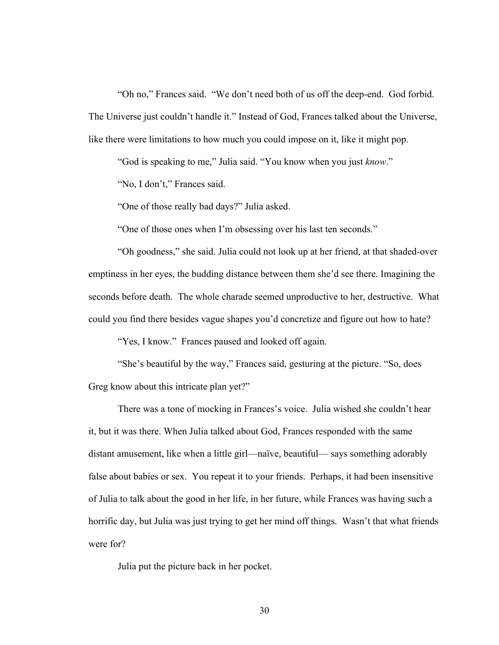"Oh no," Frances said. "We don't need both of us off the deep-end. God forbid. The Universe just couldn't handle it." Instead of God, Frances talked about the Universe, like there were limitations to how much you could impose on it, like it might pop.

"God is speaking to me," Julia said. "You know when you just *know*."

"No, I don't," Frances said.

"One of those really bad days?" Julia asked.

"One of those ones when I'm obsessing over his last ten seconds."

"Oh goodness," she said. Julia could not look up at her friend, at that shaded-over emptiness in her eyes, the budding distance between them she'd see there. Imagining the seconds before death. The whole charade seemed unproductive to her, destructive. What could you find there besides vague shapes you'd concretize and figure out how to hate?

"Yes, I know." Frances paused and looked off again.

"She's beautiful by the way," Frances said, gesturing at the picture. "So, does Greg know about this intricate plan yet?"

There was a tone of mocking in Frances's voice. Julia wished she couldn't hear it, but it was there. When Julia talked about God, Frances responded with the same distant amusement, like when a little girl—naïve, beautiful— says something adorably false about babies or sex. You repeat it to your friends. Perhaps, it had been insensitive of Julia to talk about the good in her life, in her future, while Frances was having such a horrific day, but Julia was just trying to get her mind off things. Wasn't that what friends were for?

Julia put the picture back in her pocket.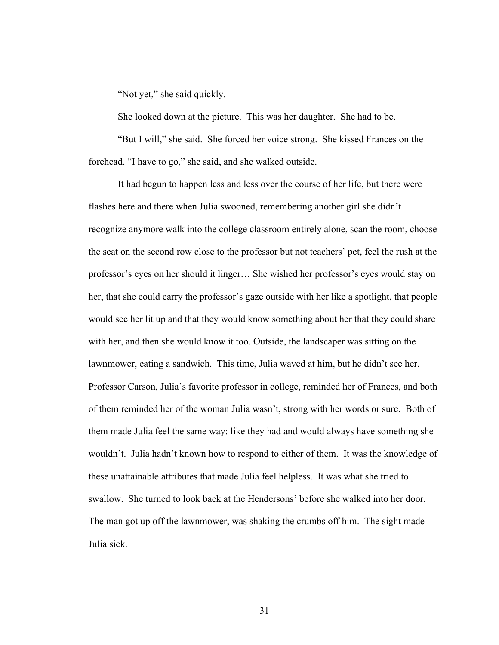"Not yet," she said quickly.

She looked down at the picture. This was her daughter. She had to be.

"But I will," she said. She forced her voice strong. She kissed Frances on the forehead. "I have to go," she said, and she walked outside.

It had begun to happen less and less over the course of her life, but there were flashes here and there when Julia swooned, remembering another girl she didn't recognize anymore walk into the college classroom entirely alone, scan the room, choose the seat on the second row close to the professor but not teachers' pet, feel the rush at the professor's eyes on her should it linger… She wished her professor's eyes would stay on her, that she could carry the professor's gaze outside with her like a spotlight, that people would see her lit up and that they would know something about her that they could share with her, and then she would know it too. Outside, the landscaper was sitting on the lawnmower, eating a sandwich. This time, Julia waved at him, but he didn't see her. Professor Carson, Julia's favorite professor in college, reminded her of Frances, and both of them reminded her of the woman Julia wasn't, strong with her words or sure. Both of them made Julia feel the same way: like they had and would always have something she wouldn't. Julia hadn't known how to respond to either of them. It was the knowledge of these unattainable attributes that made Julia feel helpless. It was what she tried to swallow. She turned to look back at the Hendersons' before she walked into her door. The man got up off the lawnmower, was shaking the crumbs off him. The sight made Julia sick.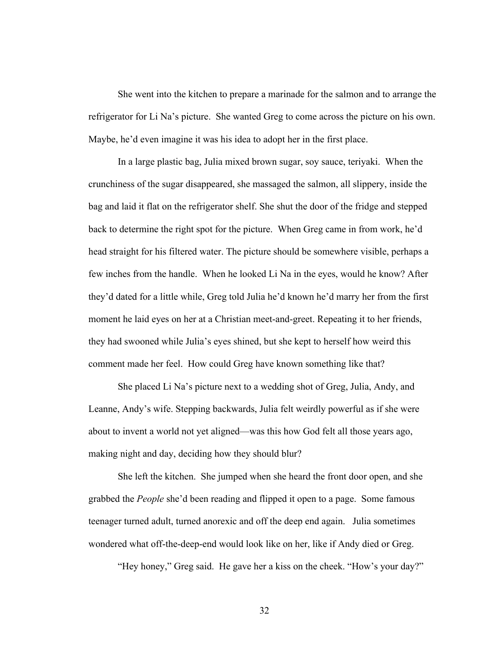She went into the kitchen to prepare a marinade for the salmon and to arrange the refrigerator for Li Na's picture. She wanted Greg to come across the picture on his own. Maybe, he'd even imagine it was his idea to adopt her in the first place.

In a large plastic bag, Julia mixed brown sugar, soy sauce, teriyaki. When the crunchiness of the sugar disappeared, she massaged the salmon, all slippery, inside the bag and laid it flat on the refrigerator shelf. She shut the door of the fridge and stepped back to determine the right spot for the picture. When Greg came in from work, he'd head straight for his filtered water. The picture should be somewhere visible, perhaps a few inches from the handle. When he looked Li Na in the eyes, would he know? After they'd dated for a little while, Greg told Julia he'd known he'd marry her from the first moment he laid eyes on her at a Christian meet-and-greet. Repeating it to her friends, they had swooned while Julia's eyes shined, but she kept to herself how weird this comment made her feel. How could Greg have known something like that?

She placed Li Na's picture next to a wedding shot of Greg, Julia, Andy, and Leanne, Andy's wife. Stepping backwards, Julia felt weirdly powerful as if she were about to invent a world not yet aligned—was this how God felt all those years ago, making night and day, deciding how they should blur?

She left the kitchen. She jumped when she heard the front door open, and she grabbed the *People* she'd been reading and flipped it open to a page. Some famous teenager turned adult, turned anorexic and off the deep end again. Julia sometimes wondered what off-the-deep-end would look like on her, like if Andy died or Greg.

"Hey honey," Greg said. He gave her a kiss on the cheek. "How's your day?"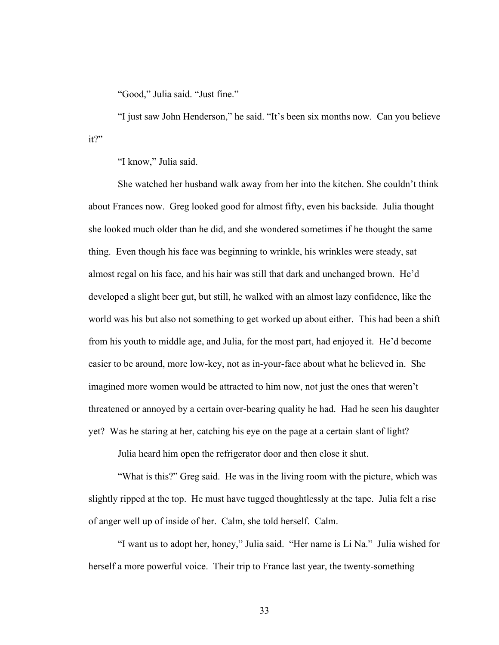"Good," Julia said. "Just fine."

"I just saw John Henderson," he said. "It's been six months now. Can you believe it?"

"I know," Julia said.

She watched her husband walk away from her into the kitchen. She couldn't think about Frances now. Greg looked good for almost fifty, even his backside. Julia thought she looked much older than he did, and she wondered sometimes if he thought the same thing. Even though his face was beginning to wrinkle, his wrinkles were steady, sat almost regal on his face, and his hair was still that dark and unchanged brown. He'd developed a slight beer gut, but still, he walked with an almost lazy confidence, like the world was his but also not something to get worked up about either. This had been a shift from his youth to middle age, and Julia, for the most part, had enjoyed it. He'd become easier to be around, more low-key, not as in-your-face about what he believed in. She imagined more women would be attracted to him now, not just the ones that weren't threatened or annoyed by a certain over-bearing quality he had. Had he seen his daughter yet? Was he staring at her, catching his eye on the page at a certain slant of light?

Julia heard him open the refrigerator door and then close it shut.

"What is this?" Greg said. He was in the living room with the picture, which was slightly ripped at the top. He must have tugged thoughtlessly at the tape. Julia felt a rise of anger well up of inside of her. Calm, she told herself. Calm.

"I want us to adopt her, honey," Julia said. "Her name is Li Na." Julia wished for herself a more powerful voice. Their trip to France last year, the twenty-something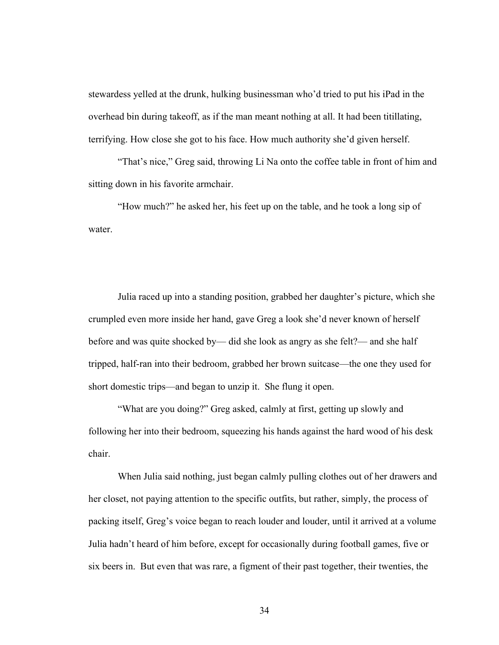stewardess yelled at the drunk, hulking businessman who'd tried to put his iPad in the overhead bin during takeoff, as if the man meant nothing at all. It had been titillating, terrifying. How close she got to his face. How much authority she'd given herself.

"That's nice," Greg said, throwing Li Na onto the coffee table in front of him and sitting down in his favorite armchair.

"How much?" he asked her, his feet up on the table, and he took a long sip of water.

Julia raced up into a standing position, grabbed her daughter's picture, which she crumpled even more inside her hand, gave Greg a look she'd never known of herself before and was quite shocked by— did she look as angry as she felt?— and she half tripped, half-ran into their bedroom, grabbed her brown suitcase—the one they used for short domestic trips—and began to unzip it. She flung it open.

"What are you doing?" Greg asked, calmly at first, getting up slowly and following her into their bedroom, squeezing his hands against the hard wood of his desk chair.

When Julia said nothing, just began calmly pulling clothes out of her drawers and her closet, not paying attention to the specific outfits, but rather, simply, the process of packing itself, Greg's voice began to reach louder and louder, until it arrived at a volume Julia hadn't heard of him before, except for occasionally during football games, five or six beers in. But even that was rare, a figment of their past together, their twenties, the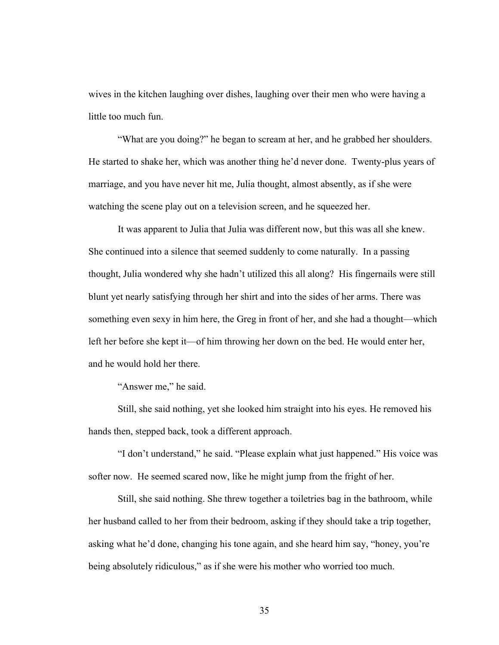wives in the kitchen laughing over dishes, laughing over their men who were having a little too much fun.

"What are you doing?" he began to scream at her, and he grabbed her shoulders. He started to shake her, which was another thing he'd never done. Twenty-plus years of marriage, and you have never hit me, Julia thought, almost absently, as if she were watching the scene play out on a television screen, and he squeezed her.

It was apparent to Julia that Julia was different now, but this was all she knew. She continued into a silence that seemed suddenly to come naturally. In a passing thought, Julia wondered why she hadn't utilized this all along? His fingernails were still blunt yet nearly satisfying through her shirt and into the sides of her arms. There was something even sexy in him here, the Greg in front of her, and she had a thought—which left her before she kept it—of him throwing her down on the bed. He would enter her, and he would hold her there.

"Answer me," he said.

Still, she said nothing, yet she looked him straight into his eyes. He removed his hands then, stepped back, took a different approach.

"I don't understand," he said. "Please explain what just happened." His voice was softer now. He seemed scared now, like he might jump from the fright of her.

Still, she said nothing. She threw together a toiletries bag in the bathroom, while her husband called to her from their bedroom, asking if they should take a trip together, asking what he'd done, changing his tone again, and she heard him say, "honey, you're being absolutely ridiculous," as if she were his mother who worried too much.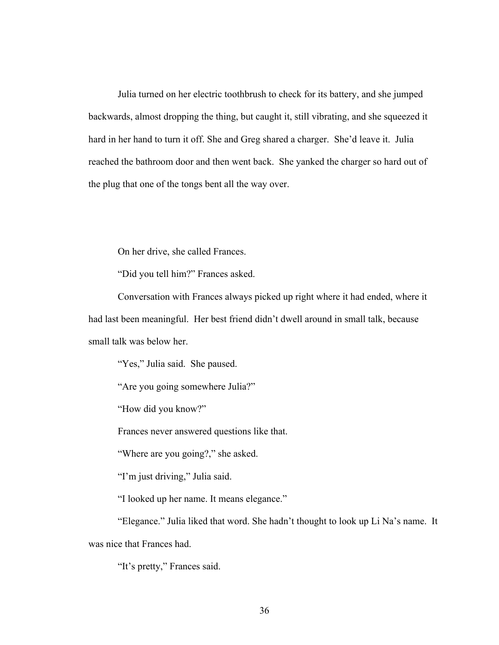Julia turned on her electric toothbrush to check for its battery, and she jumped backwards, almost dropping the thing, but caught it, still vibrating, and she squeezed it hard in her hand to turn it off. She and Greg shared a charger. She'd leave it. Julia reached the bathroom door and then went back. She yanked the charger so hard out of the plug that one of the tongs bent all the way over.

On her drive, she called Frances.

"Did you tell him?" Frances asked.

Conversation with Frances always picked up right where it had ended, where it had last been meaningful. Her best friend didn't dwell around in small talk, because small talk was below her.

"Yes," Julia said. She paused.

"Are you going somewhere Julia?"

"How did you know?"

Frances never answered questions like that.

"Where are you going?," she asked.

"I'm just driving," Julia said.

"I looked up her name. It means elegance."

"Elegance." Julia liked that word. She hadn't thought to look up Li Na's name. It was nice that Frances had.

"It's pretty," Frances said.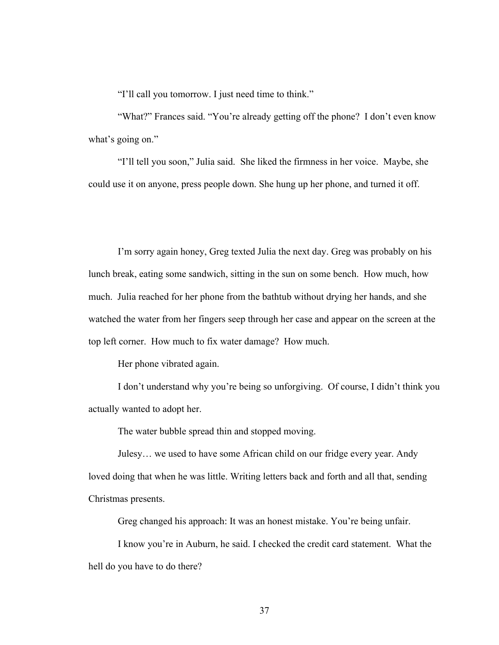"I'll call you tomorrow. I just need time to think."

"What?" Frances said. "You're already getting off the phone? I don't even know what's going on."

"I'll tell you soon," Julia said. She liked the firmness in her voice. Maybe, she could use it on anyone, press people down. She hung up her phone, and turned it off.

I'm sorry again honey, Greg texted Julia the next day. Greg was probably on his lunch break, eating some sandwich, sitting in the sun on some bench. How much, how much. Julia reached for her phone from the bathtub without drying her hands, and she watched the water from her fingers seep through her case and appear on the screen at the top left corner. How much to fix water damage? How much.

Her phone vibrated again.

I don't understand why you're being so unforgiving. Of course, I didn't think you actually wanted to adopt her.

The water bubble spread thin and stopped moving.

Julesy… we used to have some African child on our fridge every year. Andy loved doing that when he was little. Writing letters back and forth and all that, sending Christmas presents.

Greg changed his approach: It was an honest mistake. You're being unfair.

I know you're in Auburn, he said. I checked the credit card statement. What the hell do you have to do there?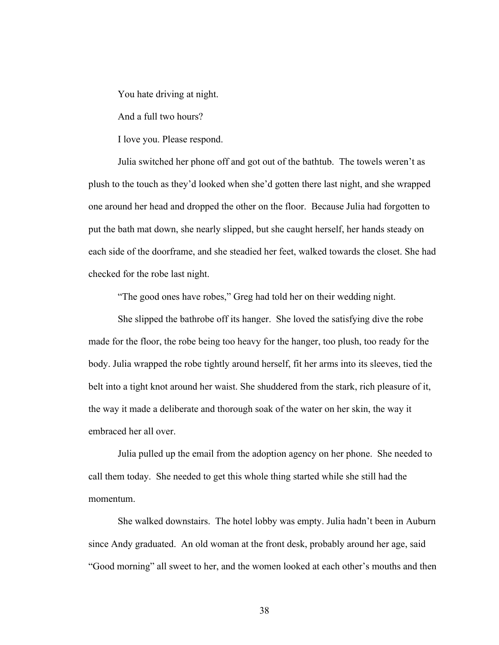You hate driving at night.

And a full two hours?

I love you. Please respond.

Julia switched her phone off and got out of the bathtub. The towels weren't as plush to the touch as they'd looked when she'd gotten there last night, and she wrapped one around her head and dropped the other on the floor. Because Julia had forgotten to put the bath mat down, she nearly slipped, but she caught herself, her hands steady on each side of the doorframe, and she steadied her feet, walked towards the closet. She had checked for the robe last night.

"The good ones have robes," Greg had told her on their wedding night.

She slipped the bathrobe off its hanger. She loved the satisfying dive the robe made for the floor, the robe being too heavy for the hanger, too plush, too ready for the body. Julia wrapped the robe tightly around herself, fit her arms into its sleeves, tied the belt into a tight knot around her waist. She shuddered from the stark, rich pleasure of it, the way it made a deliberate and thorough soak of the water on her skin, the way it embraced her all over.

Julia pulled up the email from the adoption agency on her phone. She needed to call them today. She needed to get this whole thing started while she still had the momentum.

She walked downstairs. The hotel lobby was empty. Julia hadn't been in Auburn since Andy graduated. An old woman at the front desk, probably around her age, said "Good morning" all sweet to her, and the women looked at each other's mouths and then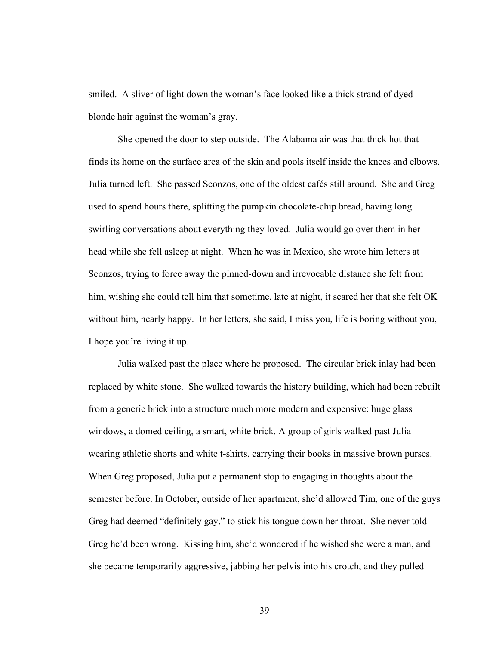smiled. A sliver of light down the woman's face looked like a thick strand of dyed blonde hair against the woman's gray.

She opened the door to step outside. The Alabama air was that thick hot that finds its home on the surface area of the skin and pools itself inside the knees and elbows. Julia turned left. She passed Sconzos, one of the oldest cafés still around. She and Greg used to spend hours there, splitting the pumpkin chocolate-chip bread, having long swirling conversations about everything they loved. Julia would go over them in her head while she fell asleep at night. When he was in Mexico, she wrote him letters at Sconzos, trying to force away the pinned-down and irrevocable distance she felt from him, wishing she could tell him that sometime, late at night, it scared her that she felt OK without him, nearly happy. In her letters, she said, I miss you, life is boring without you, I hope you're living it up.

Julia walked past the place where he proposed. The circular brick inlay had been replaced by white stone. She walked towards the history building, which had been rebuilt from a generic brick into a structure much more modern and expensive: huge glass windows, a domed ceiling, a smart, white brick. A group of girls walked past Julia wearing athletic shorts and white t-shirts, carrying their books in massive brown purses. When Greg proposed, Julia put a permanent stop to engaging in thoughts about the semester before. In October, outside of her apartment, she'd allowed Tim, one of the guys Greg had deemed "definitely gay," to stick his tongue down her throat. She never told Greg he'd been wrong. Kissing him, she'd wondered if he wished she were a man, and she became temporarily aggressive, jabbing her pelvis into his crotch, and they pulled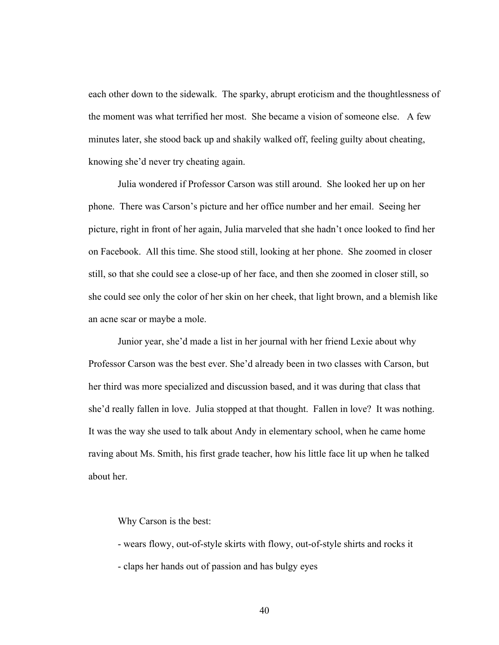each other down to the sidewalk. The sparky, abrupt eroticism and the thoughtlessness of the moment was what terrified her most. She became a vision of someone else. A few minutes later, she stood back up and shakily walked off, feeling guilty about cheating, knowing she'd never try cheating again.

Julia wondered if Professor Carson was still around. She looked her up on her phone. There was Carson's picture and her office number and her email. Seeing her picture, right in front of her again, Julia marveled that she hadn't once looked to find her on Facebook. All this time. She stood still, looking at her phone. She zoomed in closer still, so that she could see a close-up of her face, and then she zoomed in closer still, so she could see only the color of her skin on her cheek, that light brown, and a blemish like an acne scar or maybe a mole.

Junior year, she'd made a list in her journal with her friend Lexie about why Professor Carson was the best ever. She'd already been in two classes with Carson, but her third was more specialized and discussion based, and it was during that class that she'd really fallen in love. Julia stopped at that thought. Fallen in love? It was nothing. It was the way she used to talk about Andy in elementary school, when he came home raving about Ms. Smith, his first grade teacher, how his little face lit up when he talked about her.

Why Carson is the best:

- wears flowy, out-of-style skirts with flowy, out-of-style shirts and rocks it

- claps her hands out of passion and has bulgy eyes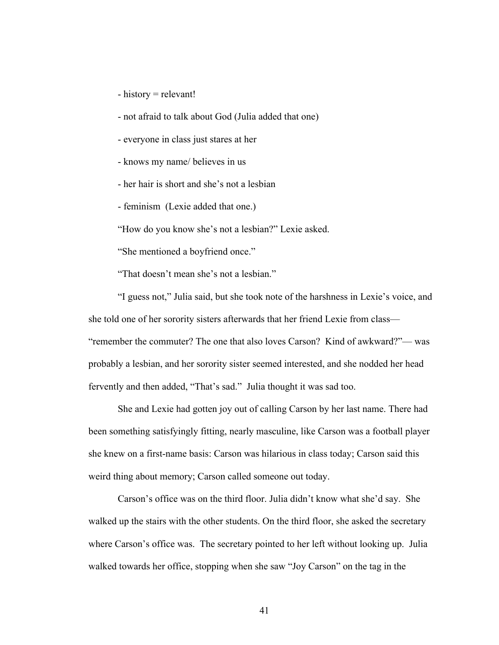- history = relevant!
- not afraid to talk about God (Julia added that one)
- everyone in class just stares at her
- knows my name/ believes in us
- her hair is short and she's not a lesbian
- feminism (Lexie added that one.)

"How do you know she's not a lesbian?" Lexie asked.

"She mentioned a boyfriend once."

"That doesn't mean she's not a lesbian."

"I guess not," Julia said, but she took note of the harshness in Lexie's voice, and she told one of her sorority sisters afterwards that her friend Lexie from class— "remember the commuter? The one that also loves Carson? Kind of awkward?"— was probably a lesbian, and her sorority sister seemed interested, and she nodded her head fervently and then added, "That's sad." Julia thought it was sad too.

She and Lexie had gotten joy out of calling Carson by her last name. There had been something satisfyingly fitting, nearly masculine, like Carson was a football player she knew on a first-name basis: Carson was hilarious in class today; Carson said this weird thing about memory; Carson called someone out today.

Carson's office was on the third floor. Julia didn't know what she'd say. She walked up the stairs with the other students. On the third floor, she asked the secretary where Carson's office was. The secretary pointed to her left without looking up. Julia walked towards her office, stopping when she saw "Joy Carson" on the tag in the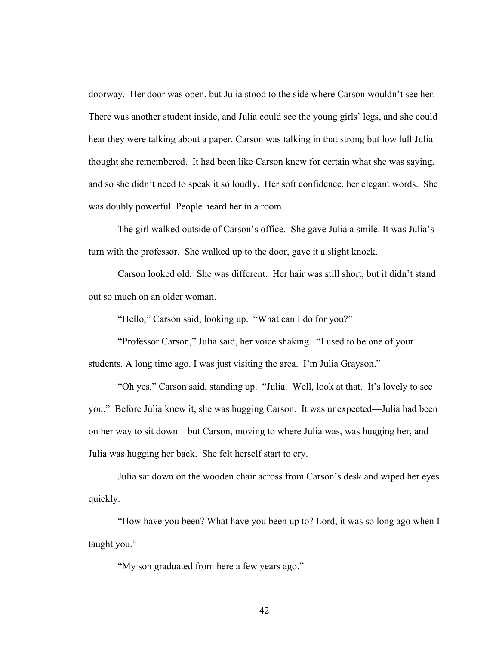doorway. Her door was open, but Julia stood to the side where Carson wouldn't see her. There was another student inside, and Julia could see the young girls' legs, and she could hear they were talking about a paper. Carson was talking in that strong but low lull Julia thought she remembered. It had been like Carson knew for certain what she was saying, and so she didn't need to speak it so loudly. Her soft confidence, her elegant words. She was doubly powerful. People heard her in a room.

The girl walked outside of Carson's office. She gave Julia a smile. It was Julia's turn with the professor. She walked up to the door, gave it a slight knock.

Carson looked old. She was different. Her hair was still short, but it didn't stand out so much on an older woman.

"Hello," Carson said, looking up. "What can I do for you?"

"Professor Carson," Julia said, her voice shaking. "I used to be one of your students. A long time ago. I was just visiting the area. I'm Julia Grayson."

"Oh yes," Carson said, standing up. "Julia. Well, look at that. It's lovely to see you." Before Julia knew it, she was hugging Carson. It was unexpected—Julia had been on her way to sit down—but Carson, moving to where Julia was, was hugging her, and Julia was hugging her back. She felt herself start to cry.

Julia sat down on the wooden chair across from Carson's desk and wiped her eyes quickly.

"How have you been? What have you been up to? Lord, it was so long ago when I taught you."

"My son graduated from here a few years ago."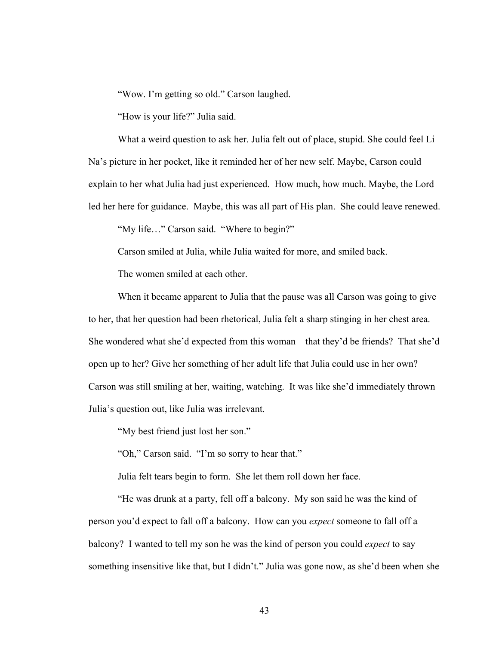"Wow. I'm getting so old." Carson laughed.

"How is your life?" Julia said.

What a weird question to ask her. Julia felt out of place, stupid. She could feel Li Na's picture in her pocket, like it reminded her of her new self. Maybe, Carson could explain to her what Julia had just experienced. How much, how much. Maybe, the Lord led her here for guidance. Maybe, this was all part of His plan. She could leave renewed.

"My life…" Carson said. "Where to begin?"

Carson smiled at Julia, while Julia waited for more, and smiled back.

The women smiled at each other.

When it became apparent to Julia that the pause was all Carson was going to give to her, that her question had been rhetorical, Julia felt a sharp stinging in her chest area. She wondered what she'd expected from this woman—that they'd be friends? That she'd open up to her? Give her something of her adult life that Julia could use in her own? Carson was still smiling at her, waiting, watching. It was like she'd immediately thrown Julia's question out, like Julia was irrelevant.

"My best friend just lost her son."

"Oh," Carson said. "I'm so sorry to hear that."

Julia felt tears begin to form. She let them roll down her face.

"He was drunk at a party, fell off a balcony. My son said he was the kind of person you'd expect to fall off a balcony. How can you *expect* someone to fall off a balcony? I wanted to tell my son he was the kind of person you could *expect* to say something insensitive like that, but I didn't." Julia was gone now, as she'd been when she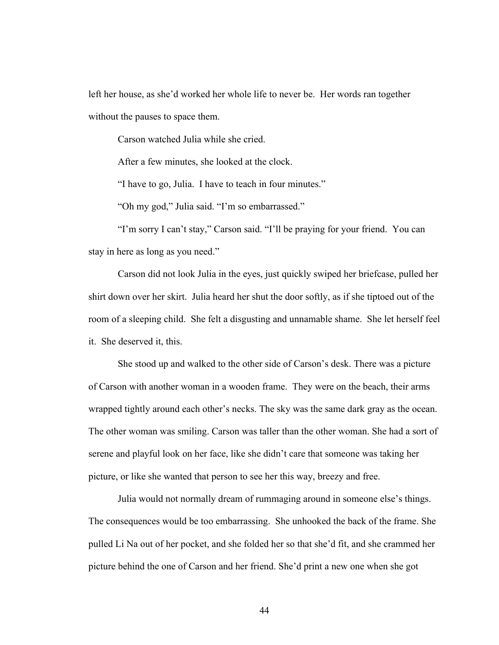left her house, as she'd worked her whole life to never be. Her words ran together without the pauses to space them.

Carson watched Julia while she cried.

After a few minutes, she looked at the clock.

"I have to go, Julia. I have to teach in four minutes."

"Oh my god," Julia said. "I'm so embarrassed."

"I'm sorry I can't stay," Carson said. "I'll be praying for your friend. You can stay in here as long as you need."

Carson did not look Julia in the eyes, just quickly swiped her briefcase, pulled her shirt down over her skirt. Julia heard her shut the door softly, as if she tiptoed out of the room of a sleeping child. She felt a disgusting and unnamable shame. She let herself feel it. She deserved it, this.

She stood up and walked to the other side of Carson's desk. There was a picture of Carson with another woman in a wooden frame. They were on the beach, their arms wrapped tightly around each other's necks. The sky was the same dark gray as the ocean. The other woman was smiling. Carson was taller than the other woman. She had a sort of serene and playful look on her face, like she didn't care that someone was taking her picture, or like she wanted that person to see her this way, breezy and free.

Julia would not normally dream of rummaging around in someone else's things. The consequences would be too embarrassing. She unhooked the back of the frame. She pulled Li Na out of her pocket, and she folded her so that she'd fit, and she crammed her picture behind the one of Carson and her friend. She'd print a new one when she got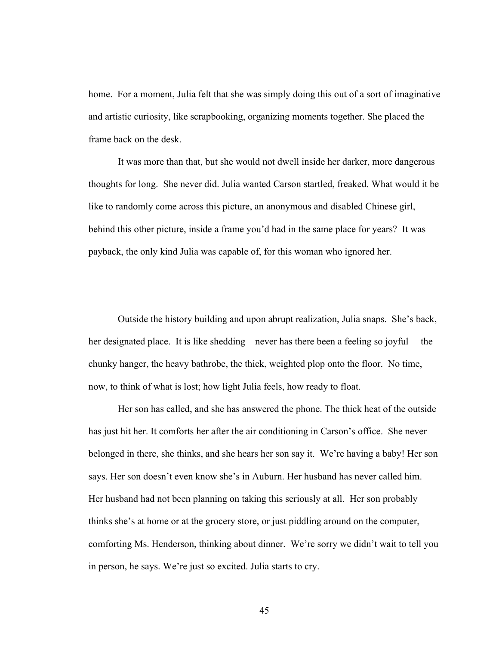home. For a moment, Julia felt that she was simply doing this out of a sort of imaginative and artistic curiosity, like scrapbooking, organizing moments together. She placed the frame back on the desk.

It was more than that, but she would not dwell inside her darker, more dangerous thoughts for long. She never did. Julia wanted Carson startled, freaked. What would it be like to randomly come across this picture, an anonymous and disabled Chinese girl, behind this other picture, inside a frame you'd had in the same place for years? It was payback, the only kind Julia was capable of, for this woman who ignored her.

Outside the history building and upon abrupt realization, Julia snaps. She's back, her designated place. It is like shedding—never has there been a feeling so joyful— the chunky hanger, the heavy bathrobe, the thick, weighted plop onto the floor. No time, now, to think of what is lost; how light Julia feels, how ready to float.

Her son has called, and she has answered the phone. The thick heat of the outside has just hit her. It comforts her after the air conditioning in Carson's office. She never belonged in there, she thinks, and she hears her son say it. We're having a baby! Her son says. Her son doesn't even know she's in Auburn. Her husband has never called him. Her husband had not been planning on taking this seriously at all. Her son probably thinks she's at home or at the grocery store, or just piddling around on the computer, comforting Ms. Henderson, thinking about dinner. We're sorry we didn't wait to tell you in person, he says. We're just so excited. Julia starts to cry.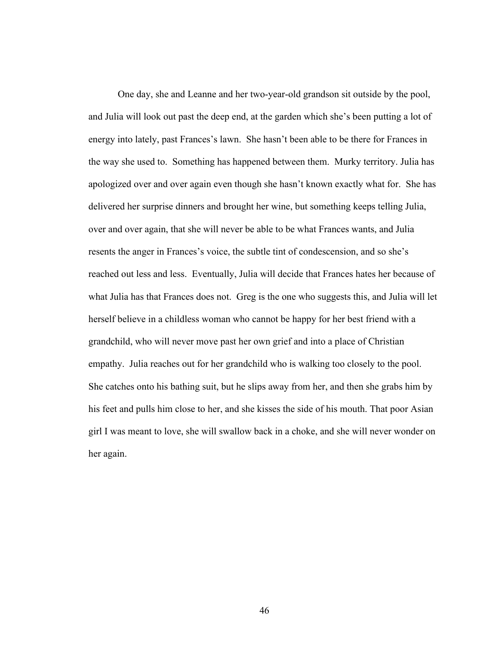One day, she and Leanne and her two-year-old grandson sit outside by the pool, and Julia will look out past the deep end, at the garden which she's been putting a lot of energy into lately, past Frances's lawn. She hasn't been able to be there for Frances in the way she used to. Something has happened between them. Murky territory. Julia has apologized over and over again even though she hasn't known exactly what for. She has delivered her surprise dinners and brought her wine, but something keeps telling Julia, over and over again, that she will never be able to be what Frances wants, and Julia resents the anger in Frances's voice, the subtle tint of condescension, and so she's reached out less and less. Eventually, Julia will decide that Frances hates her because of what Julia has that Frances does not. Greg is the one who suggests this, and Julia will let herself believe in a childless woman who cannot be happy for her best friend with a grandchild, who will never move past her own grief and into a place of Christian empathy. Julia reaches out for her grandchild who is walking too closely to the pool. She catches onto his bathing suit, but he slips away from her, and then she grabs him by his feet and pulls him close to her, and she kisses the side of his mouth. That poor Asian girl I was meant to love, she will swallow back in a choke, and she will never wonder on her again.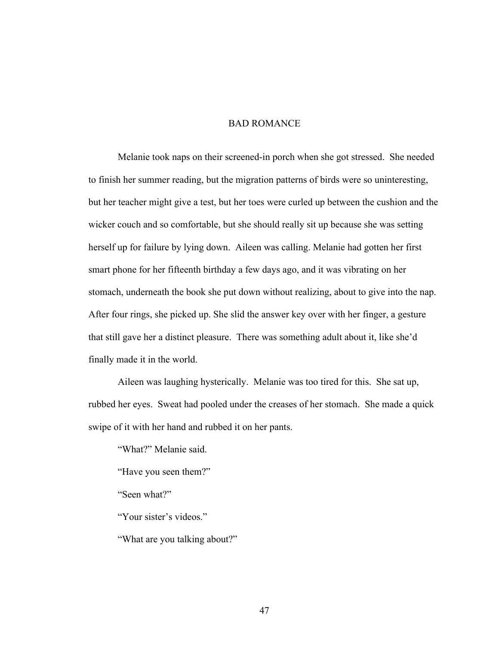## BAD ROMANCE

Melanie took naps on their screened-in porch when she got stressed. She needed to finish her summer reading, but the migration patterns of birds were so uninteresting, but her teacher might give a test, but her toes were curled up between the cushion and the wicker couch and so comfortable, but she should really sit up because she was setting herself up for failure by lying down. Aileen was calling. Melanie had gotten her first smart phone for her fifteenth birthday a few days ago, and it was vibrating on her stomach, underneath the book she put down without realizing, about to give into the nap. After four rings, she picked up. She slid the answer key over with her finger, a gesture that still gave her a distinct pleasure. There was something adult about it, like she'd finally made it in the world.

Aileen was laughing hysterically. Melanie was too tired for this. She sat up, rubbed her eyes. Sweat had pooled under the creases of her stomach. She made a quick swipe of it with her hand and rubbed it on her pants.

"What?" Melanie said.

"Have you seen them?"

"Seen what?"

"Your sister's videos."

"What are you talking about?"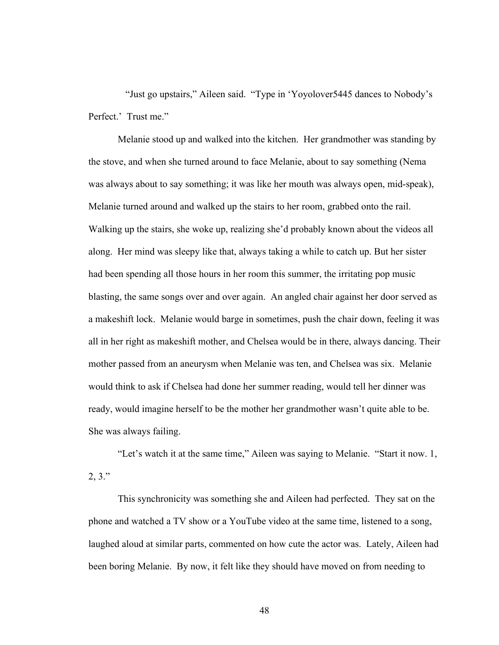"Just go upstairs," Aileen said. "Type in 'Yoyolover5445 dances to Nobody's Perfect.' Trust me."

Melanie stood up and walked into the kitchen. Her grandmother was standing by the stove, and when she turned around to face Melanie, about to say something (Nema was always about to say something; it was like her mouth was always open, mid-speak), Melanie turned around and walked up the stairs to her room, grabbed onto the rail. Walking up the stairs, she woke up, realizing she'd probably known about the videos all along. Her mind was sleepy like that, always taking a while to catch up. But her sister had been spending all those hours in her room this summer, the irritating pop music blasting, the same songs over and over again. An angled chair against her door served as a makeshift lock. Melanie would barge in sometimes, push the chair down, feeling it was all in her right as makeshift mother, and Chelsea would be in there, always dancing. Their mother passed from an aneurysm when Melanie was ten, and Chelsea was six. Melanie would think to ask if Chelsea had done her summer reading, would tell her dinner was ready, would imagine herself to be the mother her grandmother wasn't quite able to be. She was always failing.

"Let's watch it at the same time," Aileen was saying to Melanie. "Start it now. 1,  $2, 3."$ 

This synchronicity was something she and Aileen had perfected. They sat on the phone and watched a TV show or a YouTube video at the same time, listened to a song, laughed aloud at similar parts, commented on how cute the actor was. Lately, Aileen had been boring Melanie. By now, it felt like they should have moved on from needing to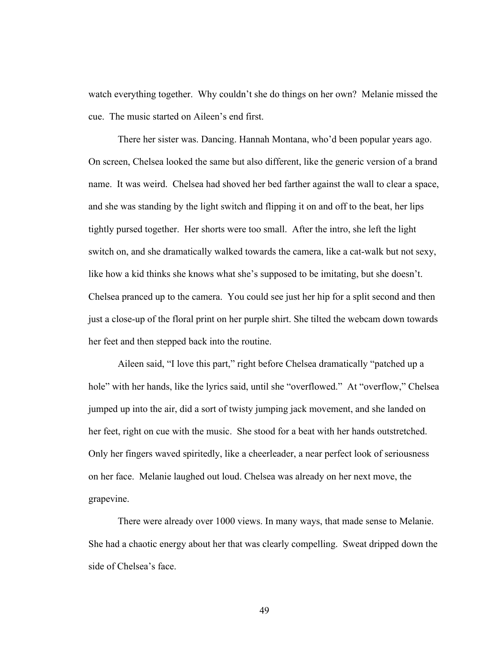watch everything together. Why couldn't she do things on her own? Melanie missed the cue. The music started on Aileen's end first.

There her sister was. Dancing. Hannah Montana, who'd been popular years ago. On screen, Chelsea looked the same but also different, like the generic version of a brand name. It was weird. Chelsea had shoved her bed farther against the wall to clear a space, and she was standing by the light switch and flipping it on and off to the beat, her lips tightly pursed together. Her shorts were too small. After the intro, she left the light switch on, and she dramatically walked towards the camera, like a cat-walk but not sexy, like how a kid thinks she knows what she's supposed to be imitating, but she doesn't. Chelsea pranced up to the camera. You could see just her hip for a split second and then just a close-up of the floral print on her purple shirt. She tilted the webcam down towards her feet and then stepped back into the routine.

Aileen said, "I love this part," right before Chelsea dramatically "patched up a hole" with her hands, like the lyrics said, until she "overflowed." At "overflow," Chelsea jumped up into the air, did a sort of twisty jumping jack movement, and she landed on her feet, right on cue with the music. She stood for a beat with her hands outstretched. Only her fingers waved spiritedly, like a cheerleader, a near perfect look of seriousness on her face. Melanie laughed out loud. Chelsea was already on her next move, the grapevine.

There were already over 1000 views. In many ways, that made sense to Melanie. She had a chaotic energy about her that was clearly compelling. Sweat dripped down the side of Chelsea's face.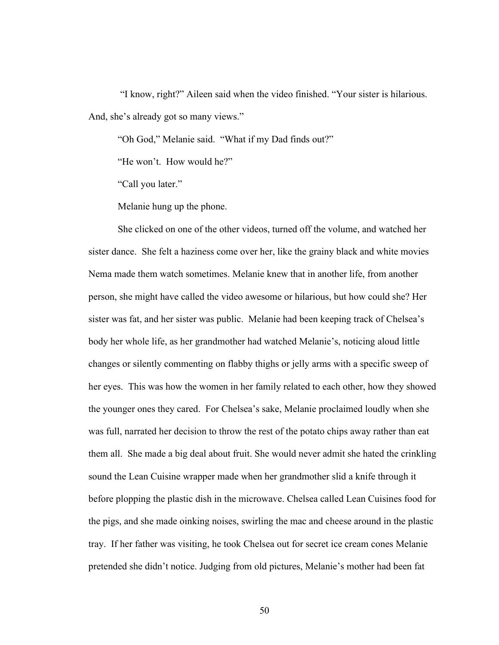"I know, right?" Aileen said when the video finished. "Your sister is hilarious. And, she's already got so many views."

"Oh God," Melanie said. "What if my Dad finds out?"

"He won't. How would he?"

"Call you later."

Melanie hung up the phone.

She clicked on one of the other videos, turned off the volume, and watched her sister dance. She felt a haziness come over her, like the grainy black and white movies Nema made them watch sometimes. Melanie knew that in another life, from another person, she might have called the video awesome or hilarious, but how could she? Her sister was fat, and her sister was public. Melanie had been keeping track of Chelsea's body her whole life, as her grandmother had watched Melanie's, noticing aloud little changes or silently commenting on flabby thighs or jelly arms with a specific sweep of her eyes. This was how the women in her family related to each other, how they showed the younger ones they cared. For Chelsea's sake, Melanie proclaimed loudly when she was full, narrated her decision to throw the rest of the potato chips away rather than eat them all. She made a big deal about fruit. She would never admit she hated the crinkling sound the Lean Cuisine wrapper made when her grandmother slid a knife through it before plopping the plastic dish in the microwave. Chelsea called Lean Cuisines food for the pigs, and she made oinking noises, swirling the mac and cheese around in the plastic tray. If her father was visiting, he took Chelsea out for secret ice cream cones Melanie pretended she didn't notice. Judging from old pictures, Melanie's mother had been fat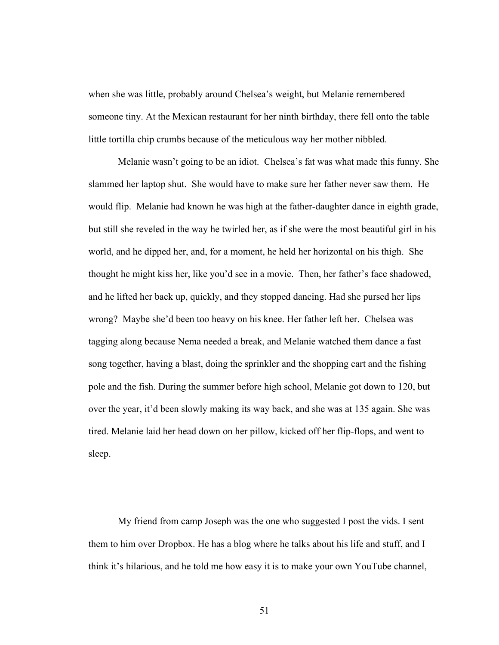when she was little, probably around Chelsea's weight, but Melanie remembered someone tiny. At the Mexican restaurant for her ninth birthday, there fell onto the table little tortilla chip crumbs because of the meticulous way her mother nibbled.

Melanie wasn't going to be an idiot. Chelsea's fat was what made this funny. She slammed her laptop shut. She would have to make sure her father never saw them. He would flip. Melanie had known he was high at the father-daughter dance in eighth grade, but still she reveled in the way he twirled her, as if she were the most beautiful girl in his world, and he dipped her, and, for a moment, he held her horizontal on his thigh. She thought he might kiss her, like you'd see in a movie. Then, her father's face shadowed, and he lifted her back up, quickly, and they stopped dancing. Had she pursed her lips wrong? Maybe she'd been too heavy on his knee. Her father left her. Chelsea was tagging along because Nema needed a break, and Melanie watched them dance a fast song together, having a blast, doing the sprinkler and the shopping cart and the fishing pole and the fish. During the summer before high school, Melanie got down to 120, but over the year, it'd been slowly making its way back, and she was at 135 again. She was tired. Melanie laid her head down on her pillow, kicked off her flip-flops, and went to sleep.

My friend from camp Joseph was the one who suggested I post the vids. I sent them to him over Dropbox. He has a blog where he talks about his life and stuff, and I think it's hilarious, and he told me how easy it is to make your own YouTube channel,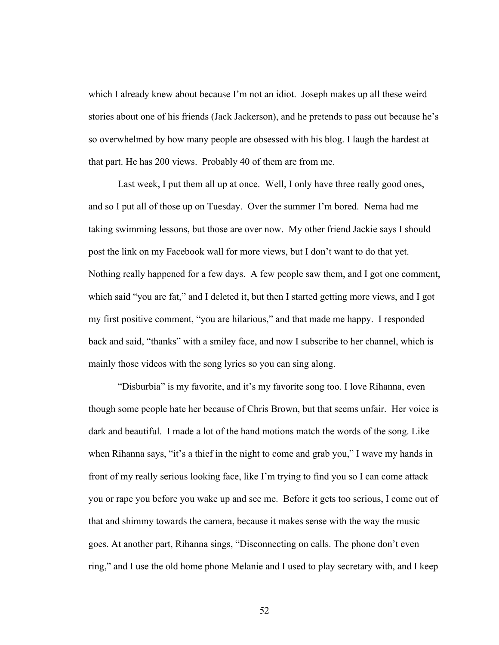which I already knew about because I'm not an idiot. Joseph makes up all these weird stories about one of his friends (Jack Jackerson), and he pretends to pass out because he's so overwhelmed by how many people are obsessed with his blog. I laugh the hardest at that part. He has 200 views. Probably 40 of them are from me.

Last week, I put them all up at once. Well, I only have three really good ones, and so I put all of those up on Tuesday. Over the summer I'm bored. Nema had me taking swimming lessons, but those are over now. My other friend Jackie says I should post the link on my Facebook wall for more views, but I don't want to do that yet. Nothing really happened for a few days. A few people saw them, and I got one comment, which said "you are fat," and I deleted it, but then I started getting more views, and I got my first positive comment, "you are hilarious," and that made me happy. I responded back and said, "thanks" with a smiley face, and now I subscribe to her channel, which is mainly those videos with the song lyrics so you can sing along.

"Disburbia" is my favorite, and it's my favorite song too. I love Rihanna, even though some people hate her because of Chris Brown, but that seems unfair. Her voice is dark and beautiful. I made a lot of the hand motions match the words of the song. Like when Rihanna says, "it's a thief in the night to come and grab you," I wave my hands in front of my really serious looking face, like I'm trying to find you so I can come attack you or rape you before you wake up and see me. Before it gets too serious, I come out of that and shimmy towards the camera, because it makes sense with the way the music goes. At another part, Rihanna sings, "Disconnecting on calls. The phone don't even ring," and I use the old home phone Melanie and I used to play secretary with, and I keep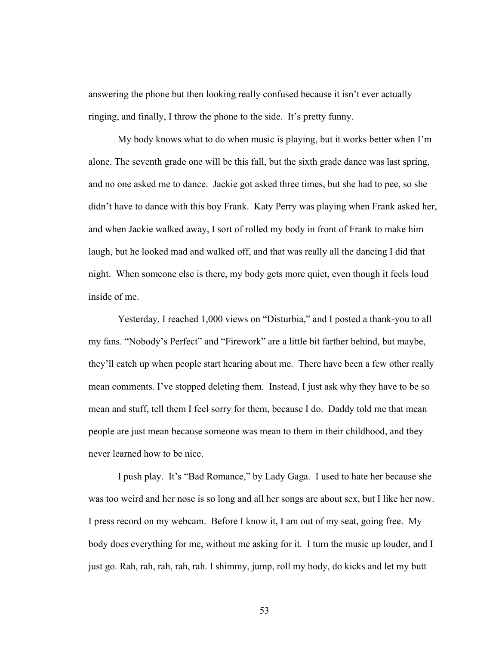answering the phone but then looking really confused because it isn't ever actually ringing, and finally, I throw the phone to the side. It's pretty funny.

My body knows what to do when music is playing, but it works better when I'm alone. The seventh grade one will be this fall, but the sixth grade dance was last spring, and no one asked me to dance. Jackie got asked three times, but she had to pee, so she didn't have to dance with this boy Frank. Katy Perry was playing when Frank asked her, and when Jackie walked away, I sort of rolled my body in front of Frank to make him laugh, but he looked mad and walked off, and that was really all the dancing I did that night. When someone else is there, my body gets more quiet, even though it feels loud inside of me.

Yesterday, I reached 1,000 views on "Disturbia," and I posted a thank-you to all my fans. "Nobody's Perfect" and "Firework" are a little bit farther behind, but maybe, they'll catch up when people start hearing about me. There have been a few other really mean comments. I've stopped deleting them. Instead, I just ask why they have to be so mean and stuff, tell them I feel sorry for them, because I do. Daddy told me that mean people are just mean because someone was mean to them in their childhood, and they never learned how to be nice.

I push play. It's "Bad Romance," by Lady Gaga. I used to hate her because she was too weird and her nose is so long and all her songs are about sex, but I like her now. I press record on my webcam. Before I know it, I am out of my seat, going free. My body does everything for me, without me asking for it. I turn the music up louder, and I just go. Rah, rah, rah, rah, rah. I shimmy, jump, roll my body, do kicks and let my butt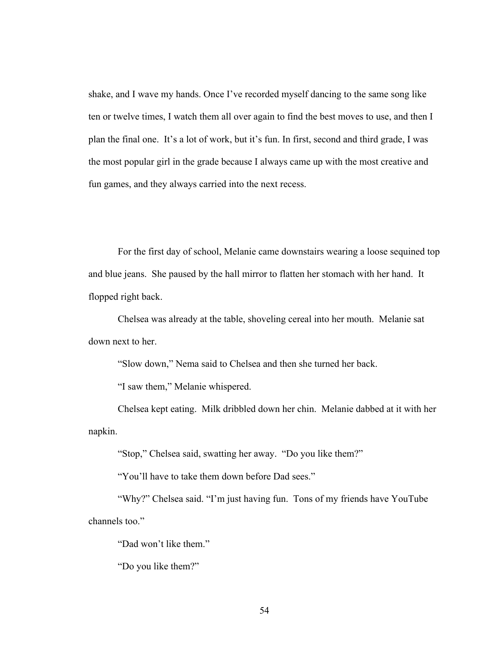shake, and I wave my hands. Once I've recorded myself dancing to the same song like ten or twelve times, I watch them all over again to find the best moves to use, and then I plan the final one. It's a lot of work, but it's fun. In first, second and third grade, I was the most popular girl in the grade because I always came up with the most creative and fun games, and they always carried into the next recess.

For the first day of school, Melanie came downstairs wearing a loose sequined top and blue jeans. She paused by the hall mirror to flatten her stomach with her hand. It flopped right back.

Chelsea was already at the table, shoveling cereal into her mouth. Melanie sat down next to her.

"Slow down," Nema said to Chelsea and then she turned her back.

"I saw them," Melanie whispered.

Chelsea kept eating. Milk dribbled down her chin. Melanie dabbed at it with her napkin.

"Stop," Chelsea said, swatting her away. "Do you like them?"

"You'll have to take them down before Dad sees."

"Why?" Chelsea said. "I'm just having fun. Tons of my friends have YouTube channels too."

"Dad won't like them."

"Do you like them?"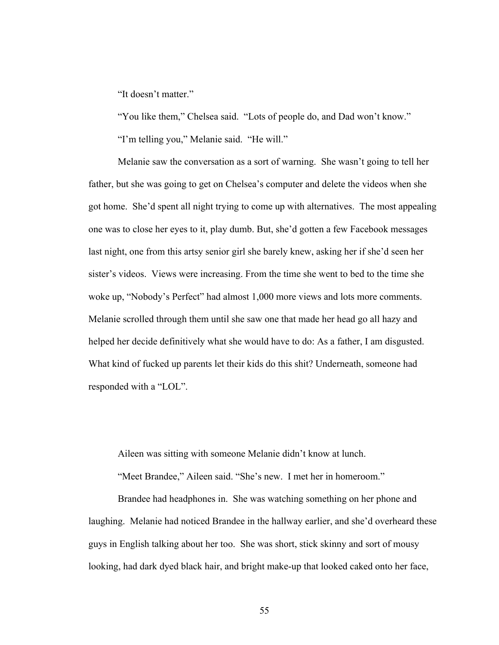"It doesn't matter."

"You like them," Chelsea said. "Lots of people do, and Dad won't know."

"I'm telling you," Melanie said. "He will."

Melanie saw the conversation as a sort of warning. She wasn't going to tell her father, but she was going to get on Chelsea's computer and delete the videos when she got home. She'd spent all night trying to come up with alternatives. The most appealing one was to close her eyes to it, play dumb. But, she'd gotten a few Facebook messages last night, one from this artsy senior girl she barely knew, asking her if she'd seen her sister's videos. Views were increasing. From the time she went to bed to the time she woke up, "Nobody's Perfect" had almost 1,000 more views and lots more comments. Melanie scrolled through them until she saw one that made her head go all hazy and helped her decide definitively what she would have to do: As a father, I am disgusted. What kind of fucked up parents let their kids do this shit? Underneath, someone had responded with a "LOL".

Aileen was sitting with someone Melanie didn't know at lunch.

"Meet Brandee," Aileen said. "She's new. I met her in homeroom."

Brandee had headphones in. She was watching something on her phone and laughing. Melanie had noticed Brandee in the hallway earlier, and she'd overheard these guys in English talking about her too. She was short, stick skinny and sort of mousy looking, had dark dyed black hair, and bright make-up that looked caked onto her face,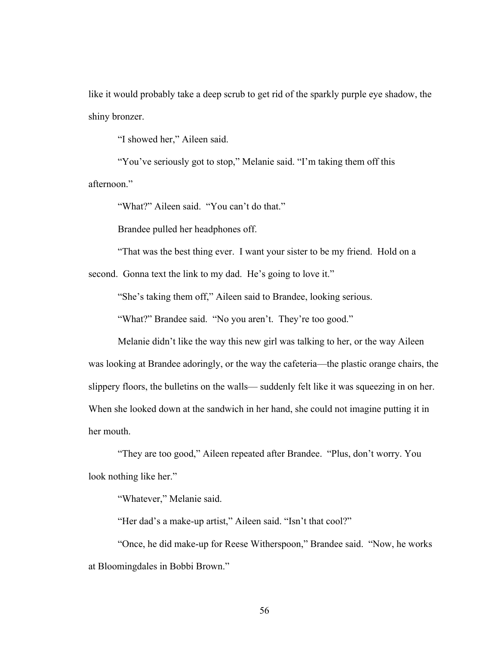like it would probably take a deep scrub to get rid of the sparkly purple eye shadow, the shiny bronzer.

"I showed her," Aileen said.

"You've seriously got to stop," Melanie said. "I'm taking them off this afternoon."

"What?" Aileen said. "You can't do that."

Brandee pulled her headphones off.

"That was the best thing ever. I want your sister to be my friend. Hold on a

second. Gonna text the link to my dad. He's going to love it."

"She's taking them off," Aileen said to Brandee, looking serious.

"What?" Brandee said. "No you aren't. They're too good."

Melanie didn't like the way this new girl was talking to her, or the way Aileen was looking at Brandee adoringly, or the way the cafeteria—the plastic orange chairs, the slippery floors, the bulletins on the walls— suddenly felt like it was squeezing in on her. When she looked down at the sandwich in her hand, she could not imagine putting it in her mouth.

"They are too good," Aileen repeated after Brandee. "Plus, don't worry. You look nothing like her."

"Whatever," Melanie said.

"Her dad's a make-up artist," Aileen said. "Isn't that cool?"

"Once, he did make-up for Reese Witherspoon," Brandee said. "Now, he works at Bloomingdales in Bobbi Brown."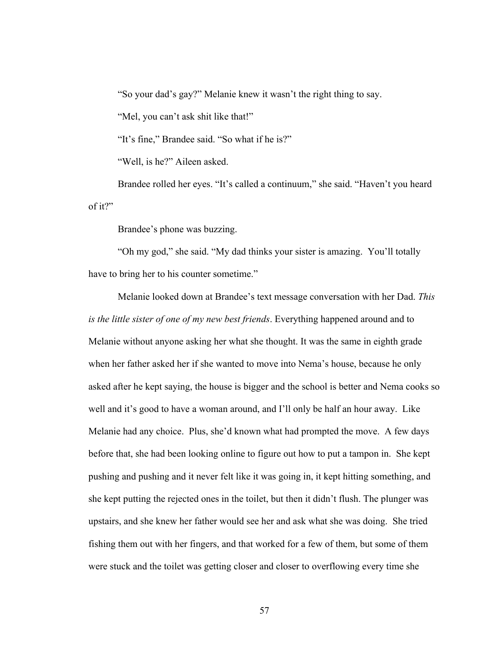"So your dad's gay?" Melanie knew it wasn't the right thing to say.

"Mel, you can't ask shit like that!"

"It's fine," Brandee said. "So what if he is?"

"Well, is he?" Aileen asked.

Brandee rolled her eyes. "It's called a continuum," she said. "Haven't you heard of it?"

Brandee's phone was buzzing.

"Oh my god," she said. "My dad thinks your sister is amazing. You'll totally have to bring her to his counter sometime."

Melanie looked down at Brandee's text message conversation with her Dad. *This is the little sister of one of my new best friends*. Everything happened around and to Melanie without anyone asking her what she thought. It was the same in eighth grade when her father asked her if she wanted to move into Nema's house, because he only asked after he kept saying, the house is bigger and the school is better and Nema cooks so well and it's good to have a woman around, and I'll only be half an hour away. Like Melanie had any choice. Plus, she'd known what had prompted the move. A few days before that, she had been looking online to figure out how to put a tampon in. She kept pushing and pushing and it never felt like it was going in, it kept hitting something, and she kept putting the rejected ones in the toilet, but then it didn't flush. The plunger was upstairs, and she knew her father would see her and ask what she was doing. She tried fishing them out with her fingers, and that worked for a few of them, but some of them were stuck and the toilet was getting closer and closer to overflowing every time she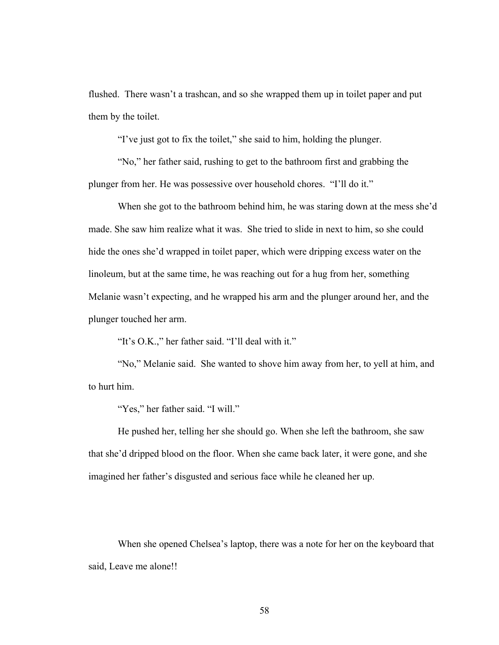flushed. There wasn't a trashcan, and so she wrapped them up in toilet paper and put them by the toilet.

"I've just got to fix the toilet," she said to him, holding the plunger.

"No," her father said, rushing to get to the bathroom first and grabbing the plunger from her. He was possessive over household chores. "I'll do it."

When she got to the bathroom behind him, he was staring down at the mess she'd made. She saw him realize what it was. She tried to slide in next to him, so she could hide the ones she'd wrapped in toilet paper, which were dripping excess water on the linoleum, but at the same time, he was reaching out for a hug from her, something Melanie wasn't expecting, and he wrapped his arm and the plunger around her, and the plunger touched her arm.

"It's O.K.," her father said. "I'll deal with it."

"No," Melanie said. She wanted to shove him away from her, to yell at him, and to hurt him.

"Yes," her father said. "I will."

He pushed her, telling her she should go. When she left the bathroom, she saw that she'd dripped blood on the floor. When she came back later, it were gone, and she imagined her father's disgusted and serious face while he cleaned her up.

When she opened Chelsea's laptop, there was a note for her on the keyboard that said, Leave me alone!!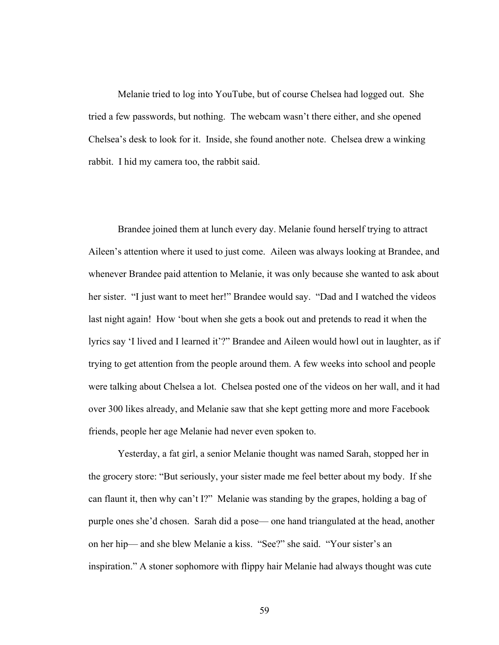Melanie tried to log into YouTube, but of course Chelsea had logged out. She tried a few passwords, but nothing. The webcam wasn't there either, and she opened Chelsea's desk to look for it. Inside, she found another note. Chelsea drew a winking rabbit. I hid my camera too, the rabbit said.

Brandee joined them at lunch every day. Melanie found herself trying to attract Aileen's attention where it used to just come. Aileen was always looking at Brandee, and whenever Brandee paid attention to Melanie, it was only because she wanted to ask about her sister. "I just want to meet her!" Brandee would say. "Dad and I watched the videos last night again! How 'bout when she gets a book out and pretends to read it when the lyrics say 'I lived and I learned it'?" Brandee and Aileen would howl out in laughter, as if trying to get attention from the people around them. A few weeks into school and people were talking about Chelsea a lot. Chelsea posted one of the videos on her wall, and it had over 300 likes already, and Melanie saw that she kept getting more and more Facebook friends, people her age Melanie had never even spoken to.

Yesterday, a fat girl, a senior Melanie thought was named Sarah, stopped her in the grocery store: "But seriously, your sister made me feel better about my body. If she can flaunt it, then why can't I?" Melanie was standing by the grapes, holding a bag of purple ones she'd chosen. Sarah did a pose— one hand triangulated at the head, another on her hip— and she blew Melanie a kiss. "See?" she said. "Your sister's an inspiration." A stoner sophomore with flippy hair Melanie had always thought was cute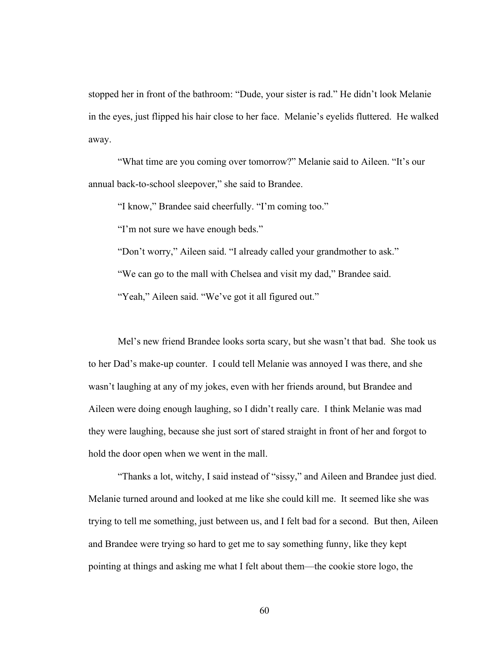stopped her in front of the bathroom: "Dude, your sister is rad." He didn't look Melanie in the eyes, just flipped his hair close to her face. Melanie's eyelids fluttered. He walked away.

"What time are you coming over tomorrow?" Melanie said to Aileen. "It's our annual back-to-school sleepover," she said to Brandee.

"I know," Brandee said cheerfully. "I'm coming too."

"I'm not sure we have enough beds."

"Don't worry," Aileen said. "I already called your grandmother to ask."

"We can go to the mall with Chelsea and visit my dad," Brandee said.

"Yeah," Aileen said. "We've got it all figured out."

Mel's new friend Brandee looks sorta scary, but she wasn't that bad. She took us to her Dad's make-up counter. I could tell Melanie was annoyed I was there, and she wasn't laughing at any of my jokes, even with her friends around, but Brandee and Aileen were doing enough laughing, so I didn't really care. I think Melanie was mad they were laughing, because she just sort of stared straight in front of her and forgot to hold the door open when we went in the mall.

"Thanks a lot, witchy, I said instead of "sissy," and Aileen and Brandee just died. Melanie turned around and looked at me like she could kill me. It seemed like she was trying to tell me something, just between us, and I felt bad for a second. But then, Aileen and Brandee were trying so hard to get me to say something funny, like they kept pointing at things and asking me what I felt about them—the cookie store logo, the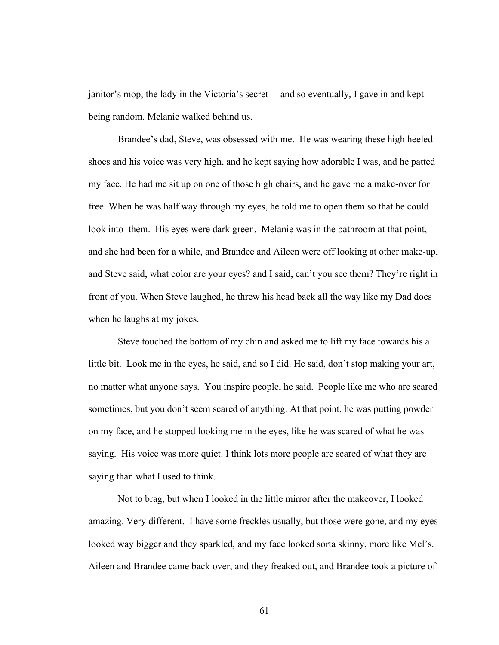janitor's mop, the lady in the Victoria's secret— and so eventually, I gave in and kept being random. Melanie walked behind us.

Brandee's dad, Steve, was obsessed with me. He was wearing these high heeled shoes and his voice was very high, and he kept saying how adorable I was, and he patted my face. He had me sit up on one of those high chairs, and he gave me a make-over for free. When he was half way through my eyes, he told me to open them so that he could look into them. His eyes were dark green. Melanie was in the bathroom at that point, and she had been for a while, and Brandee and Aileen were off looking at other make-up, and Steve said, what color are your eyes? and I said, can't you see them? They're right in front of you. When Steve laughed, he threw his head back all the way like my Dad does when he laughs at my jokes.

Steve touched the bottom of my chin and asked me to lift my face towards his a little bit. Look me in the eyes, he said, and so I did. He said, don't stop making your art, no matter what anyone says. You inspire people, he said. People like me who are scared sometimes, but you don't seem scared of anything. At that point, he was putting powder on my face, and he stopped looking me in the eyes, like he was scared of what he was saying. His voice was more quiet. I think lots more people are scared of what they are saying than what I used to think.

Not to brag, but when I looked in the little mirror after the makeover, I looked amazing. Very different. I have some freckles usually, but those were gone, and my eyes looked way bigger and they sparkled, and my face looked sorta skinny, more like Mel's. Aileen and Brandee came back over, and they freaked out, and Brandee took a picture of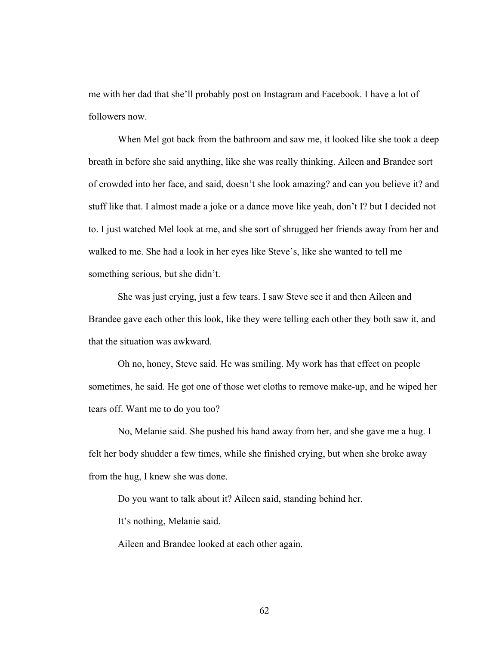me with her dad that she'll probably post on Instagram and Facebook. I have a lot of followers now.

When Mel got back from the bathroom and saw me, it looked like she took a deep breath in before she said anything, like she was really thinking. Aileen and Brandee sort of crowded into her face, and said, doesn't she look amazing? and can you believe it? and stuff like that. I almost made a joke or a dance move like yeah, don't I? but I decided not to. I just watched Mel look at me, and she sort of shrugged her friends away from her and walked to me. She had a look in her eyes like Steve's, like she wanted to tell me something serious, but she didn't.

She was just crying, just a few tears. I saw Steve see it and then Aileen and Brandee gave each other this look, like they were telling each other they both saw it, and that the situation was awkward.

Oh no, honey, Steve said. He was smiling. My work has that effect on people sometimes, he said. He got one of those wet cloths to remove make-up, and he wiped her tears off. Want me to do you too?

No, Melanie said. She pushed his hand away from her, and she gave me a hug. I felt her body shudder a few times, while she finished crying, but when she broke away from the hug, I knew she was done.

Do you want to talk about it? Aileen said, standing behind her.

It's nothing, Melanie said.

Aileen and Brandee looked at each other again.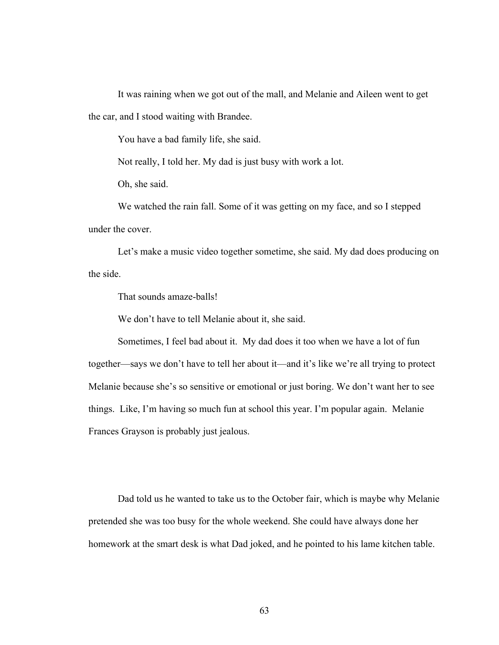It was raining when we got out of the mall, and Melanie and Aileen went to get the car, and I stood waiting with Brandee.

You have a bad family life, she said.

Not really, I told her. My dad is just busy with work a lot.

Oh, she said.

We watched the rain fall. Some of it was getting on my face, and so I stepped under the cover.

Let's make a music video together sometime, she said. My dad does producing on the side.

That sounds amaze-balls!

We don't have to tell Melanie about it, she said.

Sometimes, I feel bad about it. My dad does it too when we have a lot of fun together—says we don't have to tell her about it—and it's like we're all trying to protect Melanie because she's so sensitive or emotional or just boring. We don't want her to see things. Like, I'm having so much fun at school this year. I'm popular again. Melanie Frances Grayson is probably just jealous.

Dad told us he wanted to take us to the October fair, which is maybe why Melanie pretended she was too busy for the whole weekend. She could have always done her homework at the smart desk is what Dad joked, and he pointed to his lame kitchen table.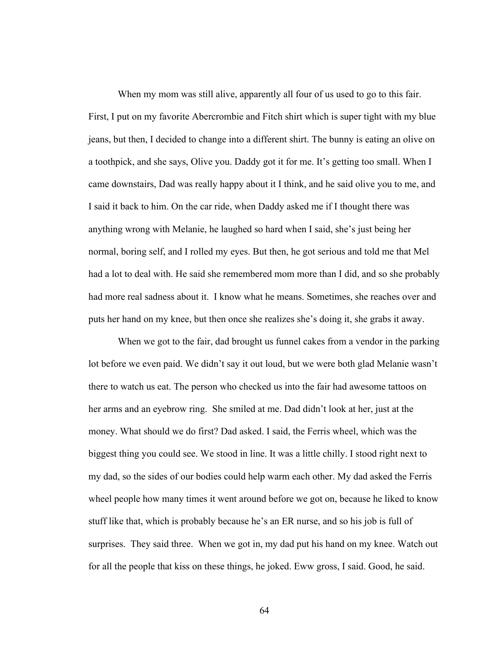When my mom was still alive, apparently all four of us used to go to this fair. First, I put on my favorite Abercrombie and Fitch shirt which is super tight with my blue jeans, but then, I decided to change into a different shirt. The bunny is eating an olive on a toothpick, and she says, Olive you. Daddy got it for me. It's getting too small. When I came downstairs, Dad was really happy about it I think, and he said olive you to me, and I said it back to him. On the car ride, when Daddy asked me if I thought there was anything wrong with Melanie, he laughed so hard when I said, she's just being her normal, boring self, and I rolled my eyes. But then, he got serious and told me that Mel had a lot to deal with. He said she remembered mom more than I did, and so she probably had more real sadness about it. I know what he means. Sometimes, she reaches over and puts her hand on my knee, but then once she realizes she's doing it, she grabs it away.

When we got to the fair, dad brought us funnel cakes from a vendor in the parking lot before we even paid. We didn't say it out loud, but we were both glad Melanie wasn't there to watch us eat. The person who checked us into the fair had awesome tattoos on her arms and an eyebrow ring. She smiled at me. Dad didn't look at her, just at the money. What should we do first? Dad asked. I said, the Ferris wheel, which was the biggest thing you could see. We stood in line. It was a little chilly. I stood right next to my dad, so the sides of our bodies could help warm each other. My dad asked the Ferris wheel people how many times it went around before we got on, because he liked to know stuff like that, which is probably because he's an ER nurse, and so his job is full of surprises. They said three. When we got in, my dad put his hand on my knee. Watch out for all the people that kiss on these things, he joked. Eww gross, I said. Good, he said.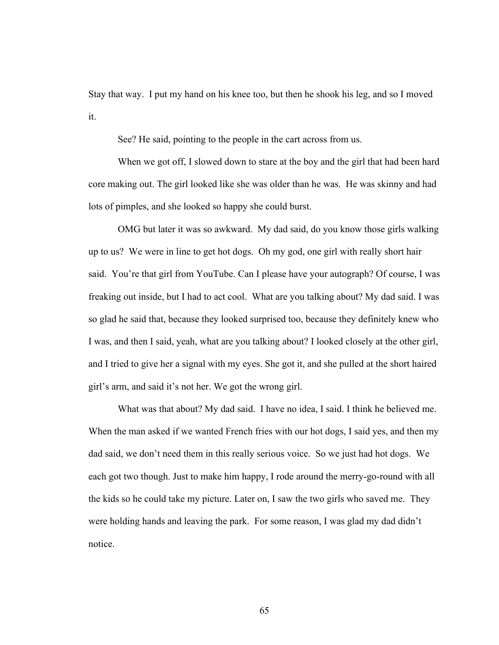Stay that way. I put my hand on his knee too, but then he shook his leg, and so I moved it.

See? He said, pointing to the people in the cart across from us.

When we got off, I slowed down to stare at the boy and the girl that had been hard core making out. The girl looked like she was older than he was. He was skinny and had lots of pimples, and she looked so happy she could burst.

OMG but later it was so awkward. My dad said, do you know those girls walking up to us? We were in line to get hot dogs. Oh my god, one girl with really short hair said. You're that girl from YouTube. Can I please have your autograph? Of course, I was freaking out inside, but I had to act cool. What are you talking about? My dad said. I was so glad he said that, because they looked surprised too, because they definitely knew who I was, and then I said, yeah, what are you talking about? I looked closely at the other girl, and I tried to give her a signal with my eyes. She got it, and she pulled at the short haired girl's arm, and said it's not her. We got the wrong girl.

What was that about? My dad said. I have no idea, I said. I think he believed me. When the man asked if we wanted French fries with our hot dogs, I said yes, and then my dad said, we don't need them in this really serious voice. So we just had hot dogs. We each got two though. Just to make him happy, I rode around the merry-go-round with all the kids so he could take my picture. Later on, I saw the two girls who saved me. They were holding hands and leaving the park. For some reason, I was glad my dad didn't notice.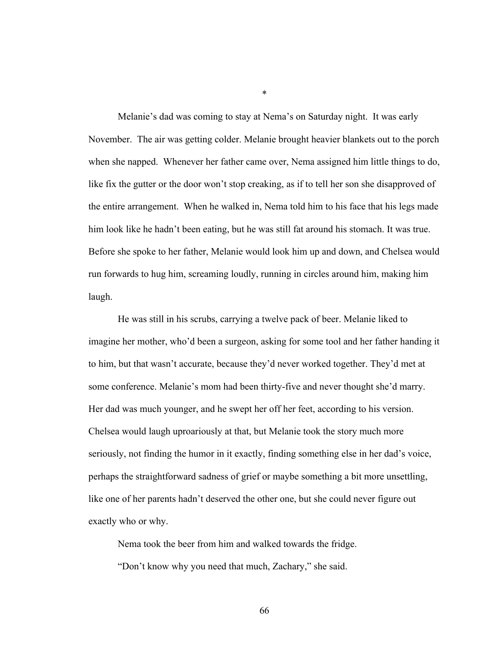Melanie's dad was coming to stay at Nema's on Saturday night. It was early November. The air was getting colder. Melanie brought heavier blankets out to the porch when she napped. Whenever her father came over, Nema assigned him little things to do, like fix the gutter or the door won't stop creaking, as if to tell her son she disapproved of the entire arrangement. When he walked in, Nema told him to his face that his legs made him look like he hadn't been eating, but he was still fat around his stomach. It was true. Before she spoke to her father, Melanie would look him up and down, and Chelsea would run forwards to hug him, screaming loudly, running in circles around him, making him laugh.

\*

He was still in his scrubs, carrying a twelve pack of beer. Melanie liked to imagine her mother, who'd been a surgeon, asking for some tool and her father handing it to him, but that wasn't accurate, because they'd never worked together. They'd met at some conference. Melanie's mom had been thirty-five and never thought she'd marry. Her dad was much younger, and he swept her off her feet, according to his version. Chelsea would laugh uproariously at that, but Melanie took the story much more seriously, not finding the humor in it exactly, finding something else in her dad's voice, perhaps the straightforward sadness of grief or maybe something a bit more unsettling, like one of her parents hadn't deserved the other one, but she could never figure out exactly who or why.

Nema took the beer from him and walked towards the fridge.

"Don't know why you need that much, Zachary," she said.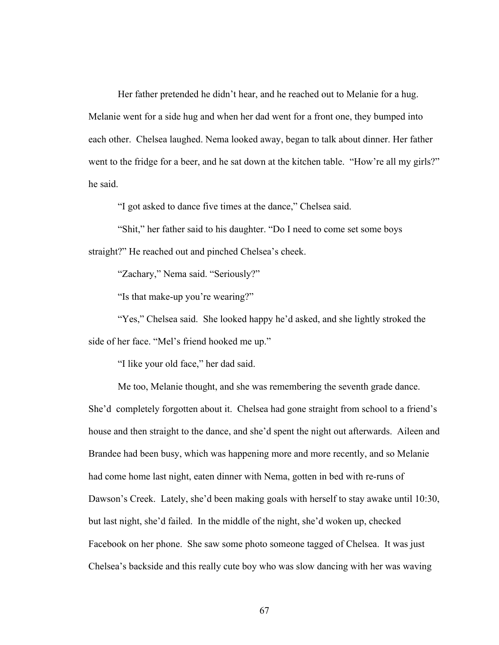Her father pretended he didn't hear, and he reached out to Melanie for a hug. Melanie went for a side hug and when her dad went for a front one, they bumped into each other. Chelsea laughed. Nema looked away, began to talk about dinner. Her father went to the fridge for a beer, and he sat down at the kitchen table. "How're all my girls?" he said.

"I got asked to dance five times at the dance," Chelsea said.

"Shit," her father said to his daughter. "Do I need to come set some boys straight?" He reached out and pinched Chelsea's cheek.

"Zachary," Nema said. "Seriously?"

"Is that make-up you're wearing?"

"Yes," Chelsea said. She looked happy he'd asked, and she lightly stroked the side of her face. "Mel's friend hooked me up."

"I like your old face," her dad said.

Me too, Melanie thought, and she was remembering the seventh grade dance. She'd completely forgotten about it. Chelsea had gone straight from school to a friend's house and then straight to the dance, and she'd spent the night out afterwards. Aileen and Brandee had been busy, which was happening more and more recently, and so Melanie had come home last night, eaten dinner with Nema, gotten in bed with re-runs of Dawson's Creek. Lately, she'd been making goals with herself to stay awake until 10:30, but last night, she'd failed. In the middle of the night, she'd woken up, checked Facebook on her phone. She saw some photo someone tagged of Chelsea. It was just Chelsea's backside and this really cute boy who was slow dancing with her was waving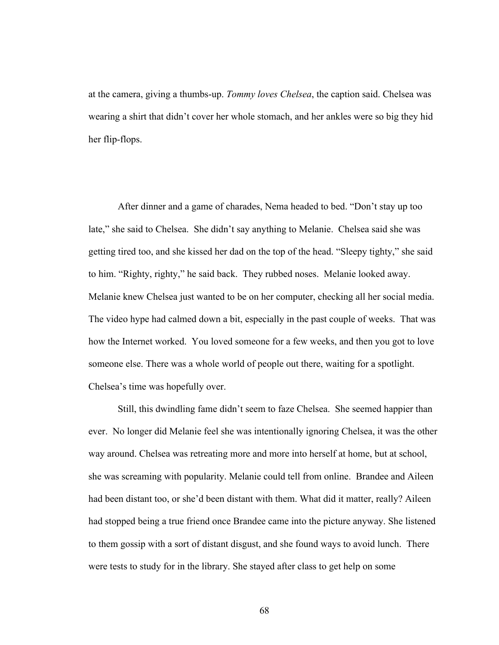at the camera, giving a thumbs-up. *Tommy loves Chelsea*, the caption said. Chelsea was wearing a shirt that didn't cover her whole stomach, and her ankles were so big they hid her flip-flops.

After dinner and a game of charades, Nema headed to bed. "Don't stay up too late," she said to Chelsea. She didn't say anything to Melanie. Chelsea said she was getting tired too, and she kissed her dad on the top of the head. "Sleepy tighty," she said to him. "Righty, righty," he said back. They rubbed noses. Melanie looked away. Melanie knew Chelsea just wanted to be on her computer, checking all her social media. The video hype had calmed down a bit, especially in the past couple of weeks. That was how the Internet worked. You loved someone for a few weeks, and then you got to love someone else. There was a whole world of people out there, waiting for a spotlight. Chelsea's time was hopefully over.

Still, this dwindling fame didn't seem to faze Chelsea. She seemed happier than ever. No longer did Melanie feel she was intentionally ignoring Chelsea, it was the other way around. Chelsea was retreating more and more into herself at home, but at school, she was screaming with popularity. Melanie could tell from online. Brandee and Aileen had been distant too, or she'd been distant with them. What did it matter, really? Aileen had stopped being a true friend once Brandee came into the picture anyway. She listened to them gossip with a sort of distant disgust, and she found ways to avoid lunch. There were tests to study for in the library. She stayed after class to get help on some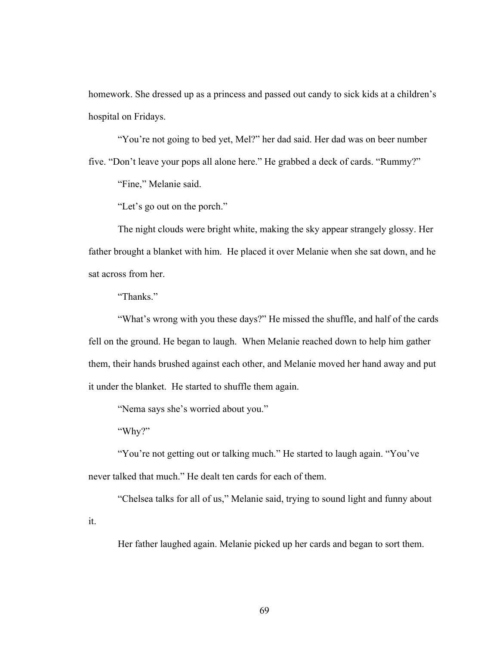homework. She dressed up as a princess and passed out candy to sick kids at a children's hospital on Fridays.

"You're not going to bed yet, Mel?" her dad said. Her dad was on beer number five. "Don't leave your pops all alone here." He grabbed a deck of cards. "Rummy?"

"Fine," Melanie said.

"Let's go out on the porch."

The night clouds were bright white, making the sky appear strangely glossy. Her father brought a blanket with him. He placed it over Melanie when she sat down, and he sat across from her.

"Thanks."

"What's wrong with you these days?" He missed the shuffle, and half of the cards fell on the ground. He began to laugh. When Melanie reached down to help him gather them, their hands brushed against each other, and Melanie moved her hand away and put it under the blanket. He started to shuffle them again.

"Nema says she's worried about you."

"Why?"

"You're not getting out or talking much." He started to laugh again. "You've never talked that much." He dealt ten cards for each of them.

"Chelsea talks for all of us," Melanie said, trying to sound light and funny about

it.

Her father laughed again. Melanie picked up her cards and began to sort them.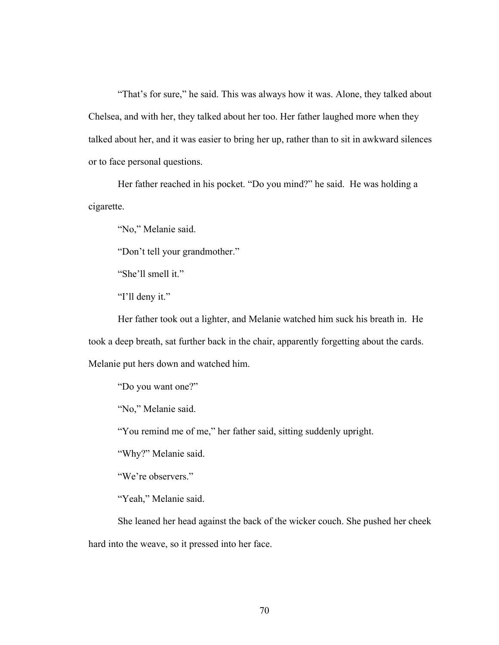"That's for sure," he said. This was always how it was. Alone, they talked about Chelsea, and with her, they talked about her too. Her father laughed more when they talked about her, and it was easier to bring her up, rather than to sit in awkward silences or to face personal questions.

Her father reached in his pocket. "Do you mind?" he said. He was holding a cigarette.

"No," Melanie said.

"Don't tell your grandmother."

"She'll smell it."

"I'll deny it."

Her father took out a lighter, and Melanie watched him suck his breath in. He took a deep breath, sat further back in the chair, apparently forgetting about the cards. Melanie put hers down and watched him.

"Do you want one?"

"No," Melanie said.

"You remind me of me," her father said, sitting suddenly upright.

"Why?" Melanie said.

"We're observers."

"Yeah," Melanie said.

She leaned her head against the back of the wicker couch. She pushed her cheek hard into the weave, so it pressed into her face.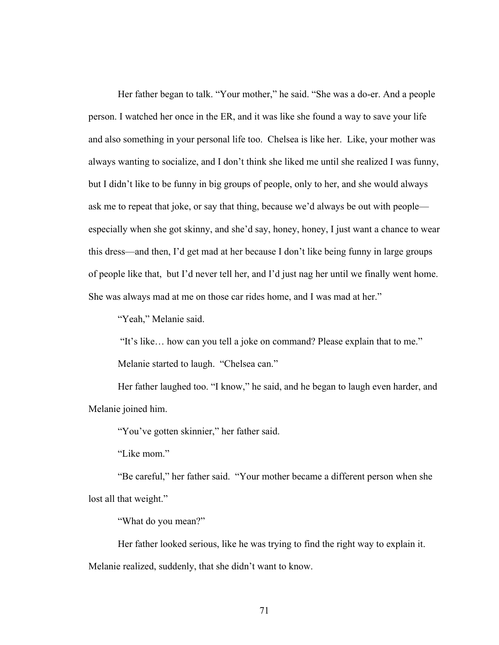Her father began to talk. "Your mother," he said. "She was a do-er. And a people person. I watched her once in the ER, and it was like she found a way to save your life and also something in your personal life too. Chelsea is like her. Like, your mother was always wanting to socialize, and I don't think she liked me until she realized I was funny, but I didn't like to be funny in big groups of people, only to her, and she would always ask me to repeat that joke, or say that thing, because we'd always be out with people especially when she got skinny, and she'd say, honey, honey, I just want a chance to wear this dress—and then, I'd get mad at her because I don't like being funny in large groups of people like that, but I'd never tell her, and I'd just nag her until we finally went home. She was always mad at me on those car rides home, and I was mad at her."

"Yeah," Melanie said.

"It's like… how can you tell a joke on command? Please explain that to me."

Melanie started to laugh. "Chelsea can."

Her father laughed too. "I know," he said, and he began to laugh even harder, and Melanie joined him.

"You've gotten skinnier," her father said.

"Like mom."

"Be careful," her father said. "Your mother became a different person when she lost all that weight."

"What do you mean?"

Her father looked serious, like he was trying to find the right way to explain it. Melanie realized, suddenly, that she didn't want to know.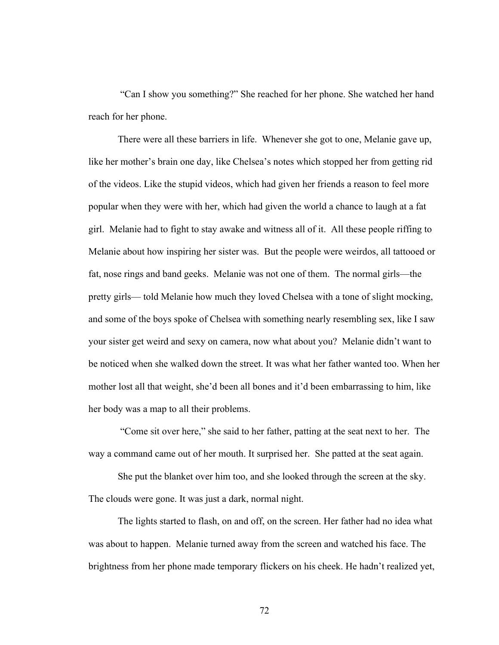"Can I show you something?" She reached for her phone. She watched her hand reach for her phone.

There were all these barriers in life. Whenever she got to one, Melanie gave up, like her mother's brain one day, like Chelsea's notes which stopped her from getting rid of the videos. Like the stupid videos, which had given her friends a reason to feel more popular when they were with her, which had given the world a chance to laugh at a fat girl. Melanie had to fight to stay awake and witness all of it. All these people riffing to Melanie about how inspiring her sister was. But the people were weirdos, all tattooed or fat, nose rings and band geeks. Melanie was not one of them. The normal girls—the pretty girls— told Melanie how much they loved Chelsea with a tone of slight mocking, and some of the boys spoke of Chelsea with something nearly resembling sex, like I saw your sister get weird and sexy on camera, now what about you? Melanie didn't want to be noticed when she walked down the street. It was what her father wanted too. When her mother lost all that weight, she'd been all bones and it'd been embarrassing to him, like her body was a map to all their problems.

"Come sit over here," she said to her father, patting at the seat next to her. The way a command came out of her mouth. It surprised her. She patted at the seat again.

She put the blanket over him too, and she looked through the screen at the sky. The clouds were gone. It was just a dark, normal night.

The lights started to flash, on and off, on the screen. Her father had no idea what was about to happen. Melanie turned away from the screen and watched his face. The brightness from her phone made temporary flickers on his cheek. He hadn't realized yet,

72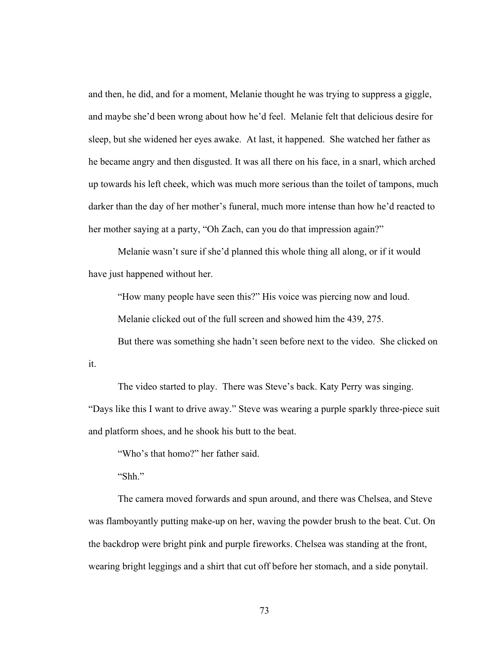and then, he did, and for a moment, Melanie thought he was trying to suppress a giggle, and maybe she'd been wrong about how he'd feel. Melanie felt that delicious desire for sleep, but she widened her eyes awake. At last, it happened. She watched her father as he became angry and then disgusted. It was all there on his face, in a snarl, which arched up towards his left cheek, which was much more serious than the toilet of tampons, much darker than the day of her mother's funeral, much more intense than how he'd reacted to her mother saying at a party, "Oh Zach, can you do that impression again?"

Melanie wasn't sure if she'd planned this whole thing all along, or if it would have just happened without her.

"How many people have seen this?" His voice was piercing now and loud.

Melanie clicked out of the full screen and showed him the 439, 275.

But there was something she hadn't seen before next to the video. She clicked on

it.

The video started to play. There was Steve's back. Katy Perry was singing.

"Days like this I want to drive away." Steve was wearing a purple sparkly three-piece suit and platform shoes, and he shook his butt to the beat.

"Who's that homo?" her father said.

"Shh."

The camera moved forwards and spun around, and there was Chelsea, and Steve was flamboyantly putting make-up on her, waving the powder brush to the beat. Cut. On the backdrop were bright pink and purple fireworks. Chelsea was standing at the front, wearing bright leggings and a shirt that cut off before her stomach, and a side ponytail.

73